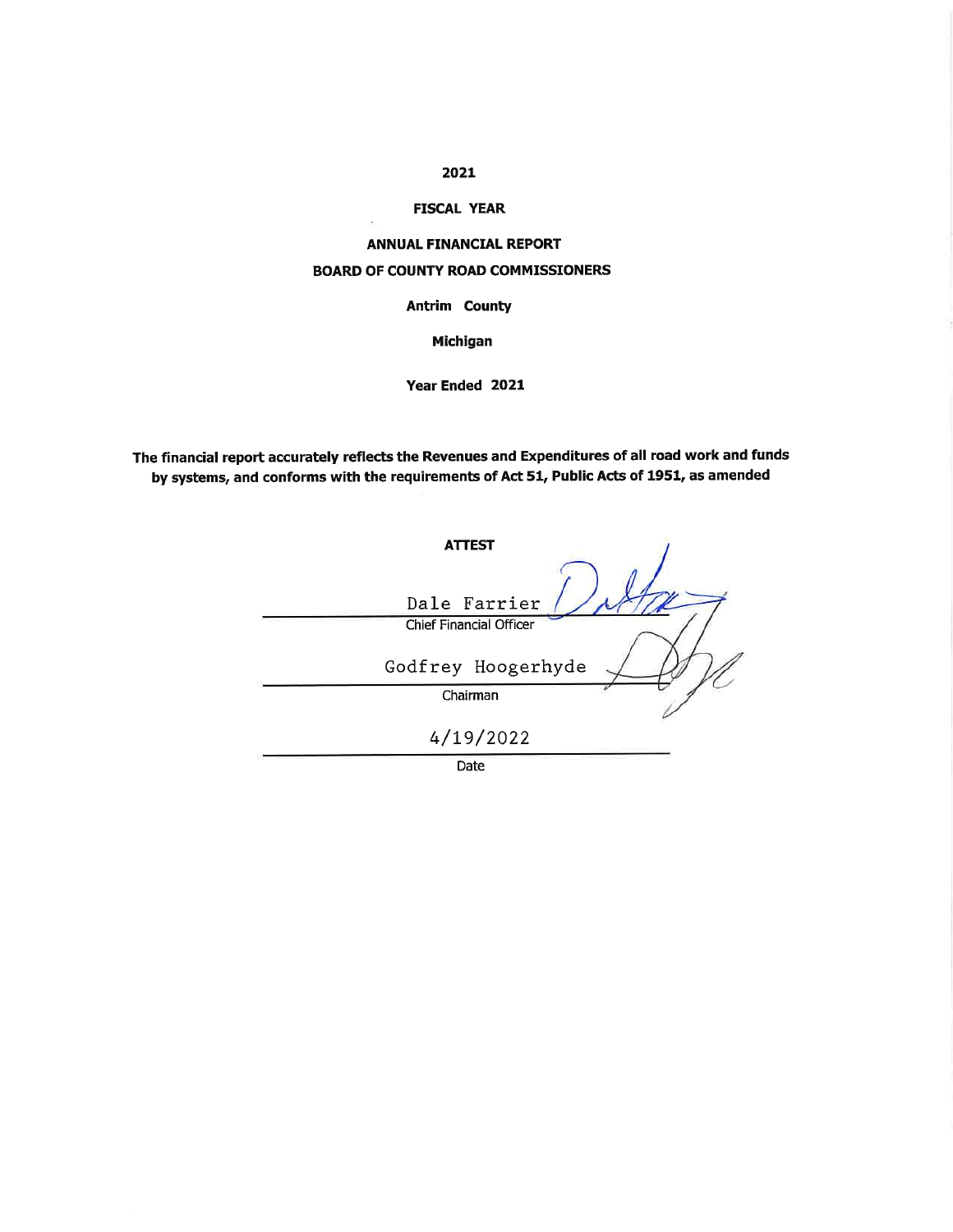# 2021

# **FISCAL YEAR**

# **ANNUAL FINANCIAL REPORT BOARD OF COUNTY ROAD COMMISSIONERS**

**Antrim County** 

**Michigan** 

Year Ended 2021

The financial report accurately reflects the Revenues and Expenditures of all road work and funds by systems, and conforms with the requirements of Act 51, Public Acts of 1951, as amended

| <b>ATTEST</b>                  |
|--------------------------------|
|                                |
| Dale Farrier                   |
| <b>Chief Financial Officer</b> |
| Godfrey Hoogerhyde             |
| Chairman                       |
| 4/19/2022                      |
| $\sim$                         |

Date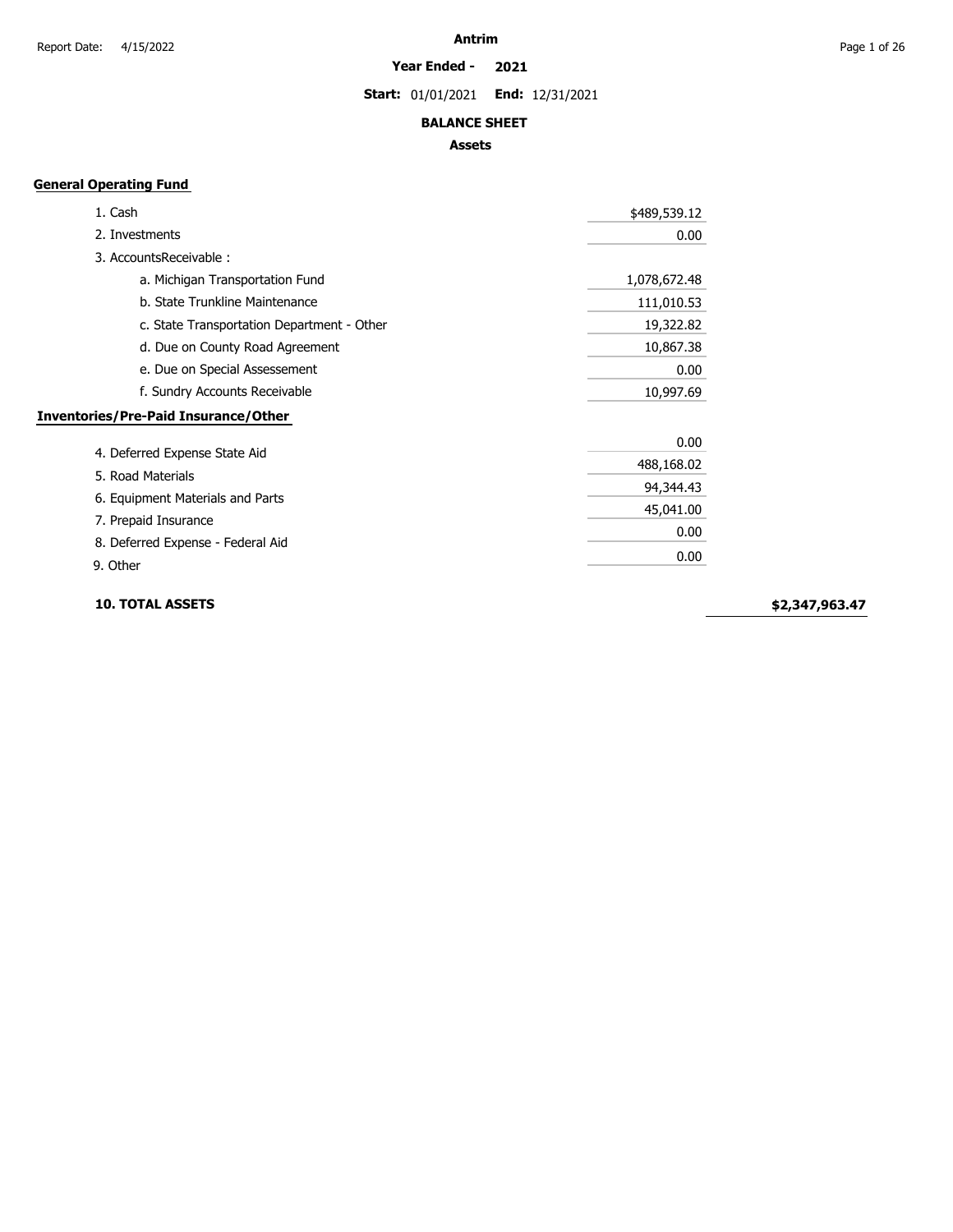**Start:** 01/01/2021 **End:** 12/31/2021

### **BALANCE SHEET**

### **Assets**

# **General Operating Fund**

| 1. Cash                                     | \$489,539.12 |
|---------------------------------------------|--------------|
| 2. Investments                              | 0.00         |
| 3. AccountsReceivable:                      |              |
| a. Michigan Transportation Fund             | 1,078,672.48 |
| b. State Trunkline Maintenance              | 111,010.53   |
| c. State Transportation Department - Other  | 19,322.82    |
| d. Due on County Road Agreement             | 10,867.38    |
| e. Due on Special Assessement               | 0.00         |
| f. Sundry Accounts Receivable               | 10,997.69    |
| <b>Inventories/Pre-Paid Insurance/Other</b> |              |
|                                             | 0.00         |
| 4. Deferred Expense State Aid               | 488,168.02   |
| 5. Road Materials                           | 94,344.43    |
| 6. Equipment Materials and Parts            | 45,041.00    |
| 7. Prepaid Insurance                        |              |
| 8. Deferred Expense - Federal Aid           | 0.00         |
| 9. Other                                    | 0.00         |

**10. TOTAL ASSETS**

**\$2,347,963.47**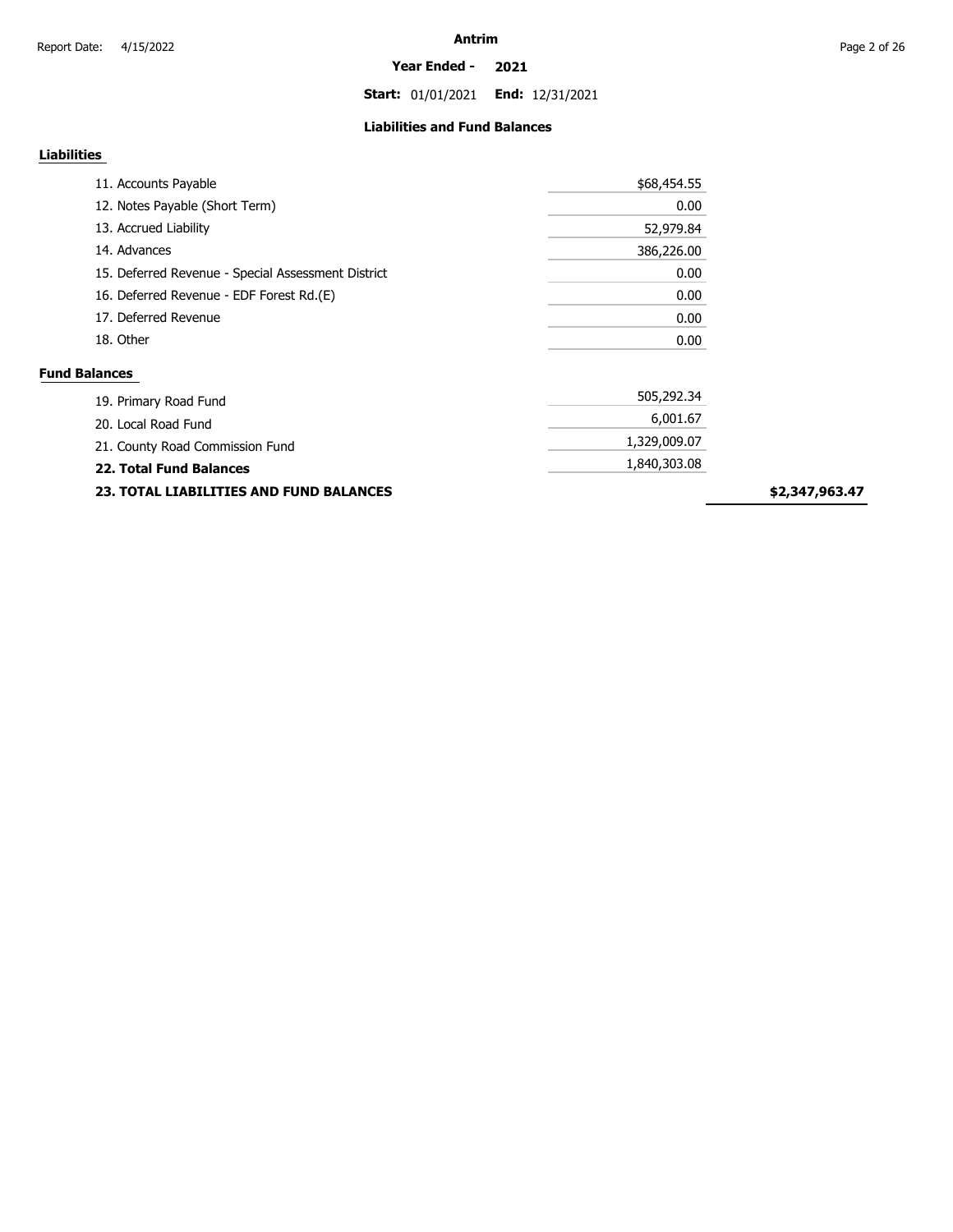**Start:** 01/01/2021 **End:** 12/31/2021

### **Liabilities and Fund Balances**

# **Liabilities**

| 11. Accounts Payable                               | \$68,454.55 |
|----------------------------------------------------|-------------|
| 12. Notes Payable (Short Term)                     | 0.00        |
| 13. Accrued Liability                              | 52,979.84   |
| 14. Advances                                       | 386,226.00  |
| 15. Deferred Revenue - Special Assessment District | 0.00        |
| 16. Deferred Revenue - EDF Forest Rd.(E)           | 0.00        |
| 17. Deferred Revenue                               | 0.00        |
| 18. Other                                          | 0.00        |
| <b>Fund Balances</b>                               |             |

| 19. Primary Road Fund                          | 505,292.34   |  |  |
|------------------------------------------------|--------------|--|--|
| 20. Local Road Fund                            | 6,001.67     |  |  |
| 21. County Road Commission Fund                | 1,329,009.07 |  |  |
| <b>22. Total Fund Balances</b>                 | 1,840,303.08 |  |  |
| <b>23. TOTAL LIABILITIES AND FUND BALANCES</b> |              |  |  |

**\$2,347,963.47**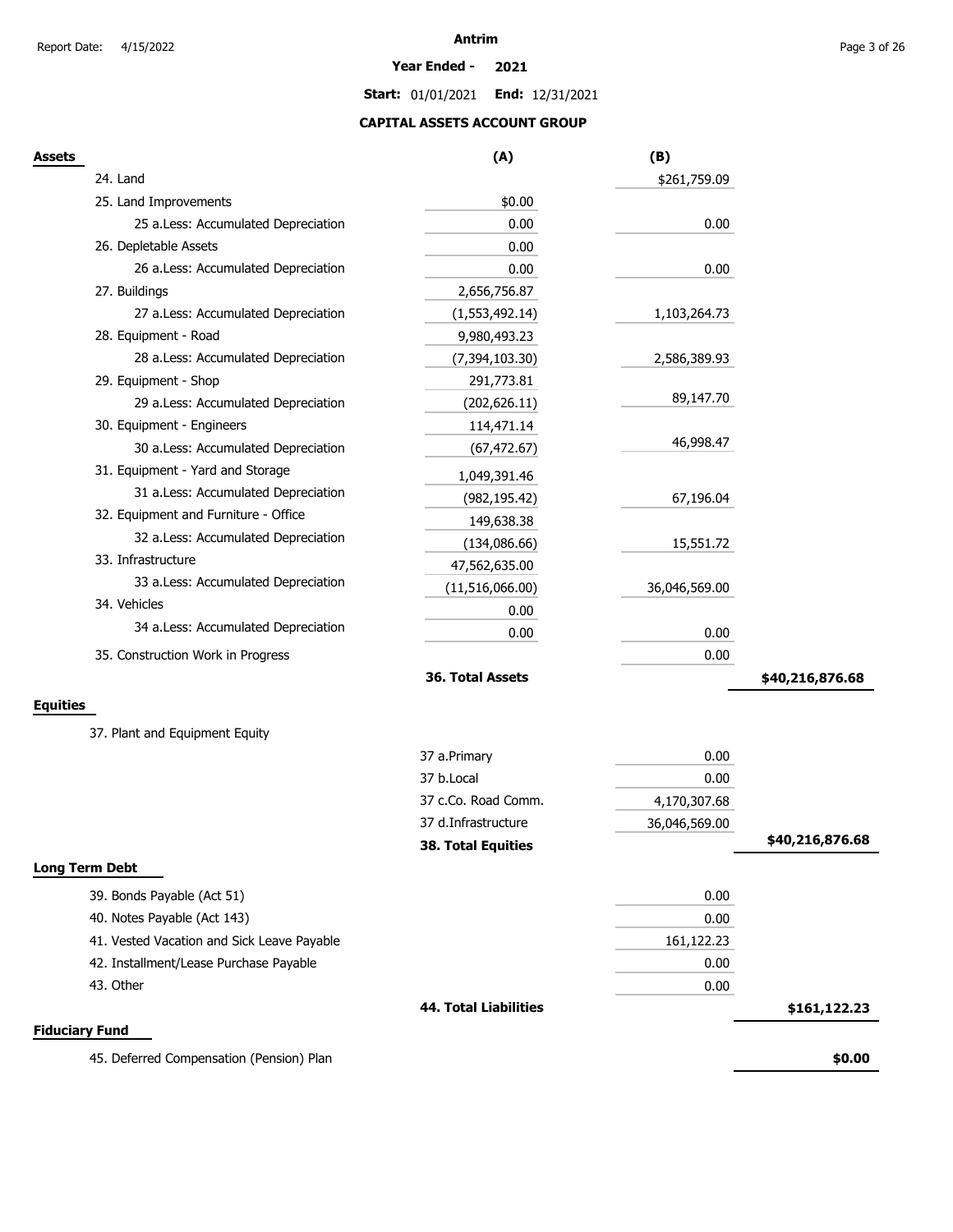#### **Year Ended - 2021**

**Start:** 01/01/2021 **End:** 12/31/2021

# **CAPITAL ASSETS ACCOUNT GROUP**

| <b>Assets</b>                              | (A)                          | (B)           |                 |
|--------------------------------------------|------------------------------|---------------|-----------------|
| 24. Land                                   |                              | \$261,759.09  |                 |
| 25. Land Improvements                      | \$0.00                       |               |                 |
| 25 a.Less: Accumulated Depreciation        | 0.00                         | 0.00          |                 |
| 26. Depletable Assets                      | 0.00                         |               |                 |
| 26 a.Less: Accumulated Depreciation        | 0.00                         | 0.00          |                 |
| 27. Buildings                              | 2,656,756.87                 |               |                 |
| 27 a.Less: Accumulated Depreciation        | (1,553,492.14)               | 1,103,264.73  |                 |
| 28. Equipment - Road                       | 9,980,493.23                 |               |                 |
| 28 a.Less: Accumulated Depreciation        | (7, 394, 103.30)             | 2,586,389.93  |                 |
| 29. Equipment - Shop                       | 291,773.81                   |               |                 |
| 29 a.Less: Accumulated Depreciation        | (202, 626.11)                | 89,147.70     |                 |
| 30. Equipment - Engineers                  | 114,471.14                   |               |                 |
| 30 a.Less: Accumulated Depreciation        | (67, 472.67)                 | 46,998.47     |                 |
| 31. Equipment - Yard and Storage           | 1,049,391.46                 |               |                 |
| 31 a.Less: Accumulated Depreciation        | (982, 195.42)                | 67,196.04     |                 |
| 32. Equipment and Furniture - Office       | 149,638.38                   |               |                 |
| 32 a.Less: Accumulated Depreciation        | (134,086.66)                 | 15,551.72     |                 |
| 33. Infrastructure                         | 47,562,635.00                |               |                 |
| 33 a.Less: Accumulated Depreciation        | (11,516,066.00)              | 36,046,569.00 |                 |
| 34. Vehicles                               | 0.00                         |               |                 |
| 34 a.Less: Accumulated Depreciation        | 0.00                         | 0.00          |                 |
| 35. Construction Work in Progress          |                              | 0.00          |                 |
|                                            | 36. Total Assets             |               | \$40,216,876.68 |
| <b>Equities</b>                            |                              |               |                 |
|                                            |                              |               |                 |
| 37. Plant and Equipment Equity             |                              |               |                 |
|                                            | 37 a.Primary                 | 0.00          |                 |
|                                            | 37 b.Local                   | 0.00          |                 |
|                                            | 37 c.Co. Road Comm.          | 4,170,307.68  |                 |
|                                            | 37 d.Infrastructure          | 36,046,569.00 |                 |
|                                            | <b>38. Total Equities</b>    |               | \$40,216,876.68 |
| <b>Long Term Debt</b>                      |                              |               |                 |
| 39. Bonds Payable (Act 51)                 |                              | 0.00          |                 |
| 40. Notes Payable (Act 143)                |                              | 0.00          |                 |
| 41. Vested Vacation and Sick Leave Payable |                              | 161,122.23    |                 |
| 42. Installment/Lease Purchase Payable     |                              | 0.00          |                 |
| 43. Other                                  |                              | 0.00          |                 |
|                                            | <b>44. Total Liabilities</b> |               | \$161,122.23    |
| <b>Fiduciary Fund</b>                      |                              |               |                 |
| 45. Deferred Compensation (Pension) Plan   |                              |               | \$0.00          |
|                                            |                              |               |                 |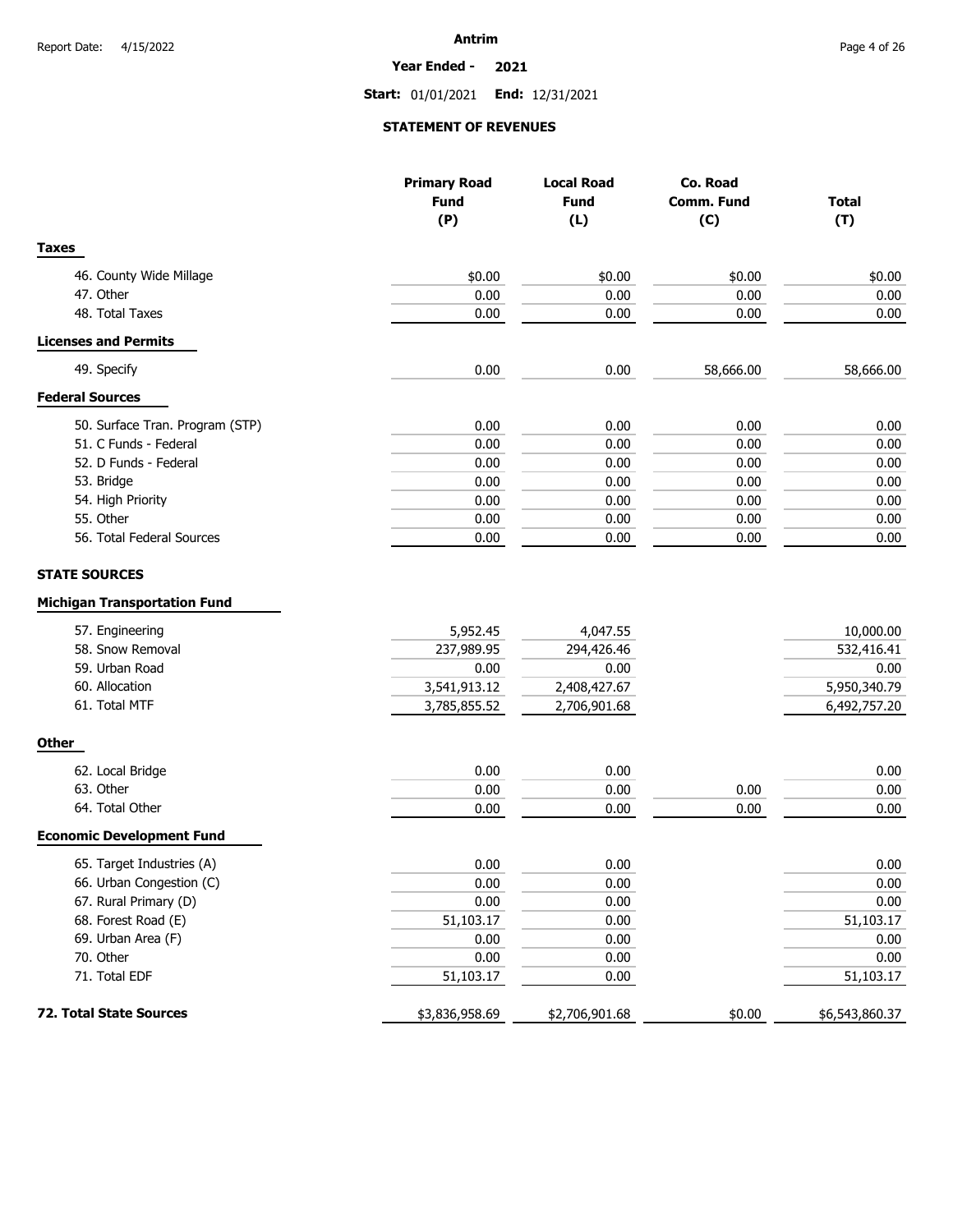#### **Year Ended - 2021**

**Start:** 01/01/2021 **End:** 12/31/2021

### **STATEMENT OF REVENUES**

|                                     | <b>Primary Road</b> | <b>Local Road</b> | Co. Road          |                |
|-------------------------------------|---------------------|-------------------|-------------------|----------------|
|                                     | <b>Fund</b>         | <b>Fund</b>       | <b>Comm. Fund</b> | <b>Total</b>   |
|                                     | (P)                 | (L)               | (C)               | (T)            |
| <b>Taxes</b>                        |                     |                   |                   |                |
| 46. County Wide Millage             | \$0.00              | \$0.00            | \$0.00            | \$0.00         |
| 47. Other                           | 0.00                | 0.00              | 0.00              | 0.00           |
| 48. Total Taxes                     | 0.00                | 0.00              | 0.00              | 0.00           |
| <b>Licenses and Permits</b>         |                     |                   |                   |                |
| 49. Specify                         | 0.00                | 0.00              | 58,666.00         | 58,666.00      |
| <b>Federal Sources</b>              |                     |                   |                   |                |
| 50. Surface Tran. Program (STP)     | 0.00                | 0.00              | 0.00              | 0.00           |
| 51. C Funds - Federal               | 0.00                | 0.00              | 0.00              | 0.00           |
| 52. D Funds - Federal               | 0.00                | 0.00              | 0.00              | 0.00           |
| 53. Bridge                          | 0.00                | 0.00              | 0.00              | 0.00           |
| 54. High Priority                   | 0.00                | 0.00              | 0.00              | 0.00           |
| 55. Other                           | 0.00                | 0.00              | 0.00              | 0.00           |
| 56. Total Federal Sources           | 0.00                | 0.00              | 0.00              | 0.00           |
| <b>STATE SOURCES</b>                |                     |                   |                   |                |
| <b>Michigan Transportation Fund</b> |                     |                   |                   |                |
| 57. Engineering                     | 5,952.45            | 4,047.55          |                   | 10,000.00      |
| 58. Snow Removal                    | 237,989.95          | 294,426.46        |                   | 532,416.41     |
| 59. Urban Road                      | 0.00                | 0.00              |                   | 0.00           |
| 60. Allocation                      | 3,541,913.12        | 2,408,427.67      |                   | 5,950,340.79   |
| 61. Total MTF                       | 3,785,855.52        | 2,706,901.68      |                   | 6,492,757.20   |
| <b>Other</b>                        |                     |                   |                   |                |
| 62. Local Bridge                    | 0.00                | 0.00              |                   | 0.00           |
| 63. Other                           | 0.00                | 0.00              | 0.00              | 0.00           |
| 64. Total Other                     | 0.00                | 0.00              | 0.00              | 0.00           |
| <b>Economic Development Fund</b>    |                     |                   |                   |                |
| 65. Target Industries (A)           | 0.00                | 0.00              |                   | 0.00           |
| 66. Urban Congestion (C)            | 0.00                | 0.00              |                   | $0.00\,$       |
| 67. Rural Primary (D)               | 0.00                | 0.00              |                   | 0.00           |
| 68. Forest Road (E)                 | 51,103.17           | 0.00              |                   | 51,103.17      |
| 69. Urban Area (F)                  | 0.00                | 0.00              |                   | 0.00           |
| 70. Other                           | 0.00                | 0.00              |                   | 0.00           |
| 71. Total EDF                       | 51,103.17           | 0.00              |                   | 51,103.17      |
| 72. Total State Sources             | \$3,836,958.69      | \$2,706,901.68    | \$0.00            | \$6,543,860.37 |
|                                     |                     |                   |                   |                |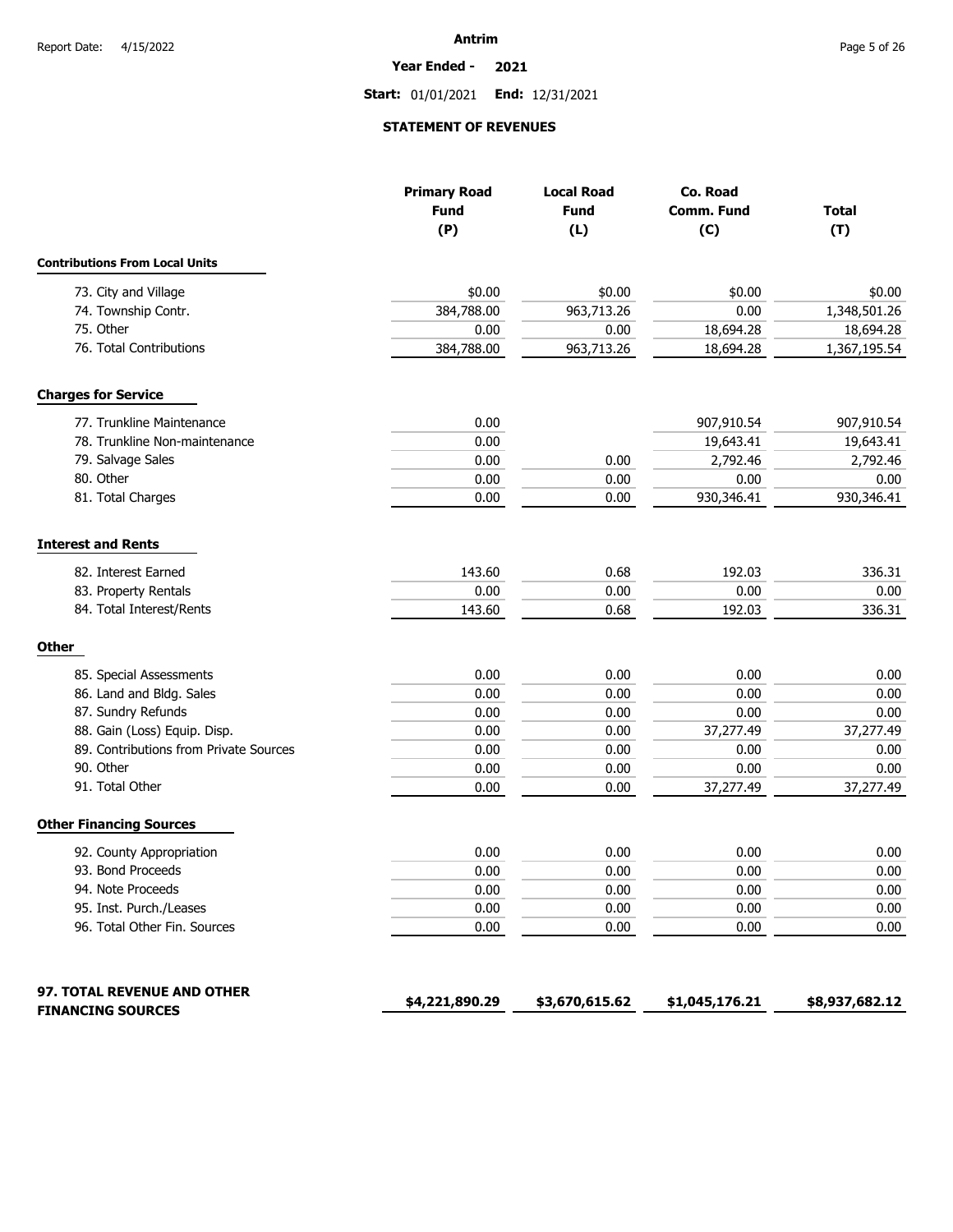#### **Year Ended - 2021**

**Start:** 01/01/2021 **End:** 12/31/2021

### **STATEMENT OF REVENUES**

|                                                         | <b>Primary Road</b><br><b>Fund</b><br>(P) | <b>Local Road</b><br><b>Fund</b><br>(L) | Co. Road<br>Comm. Fund<br>(C) | <b>Total</b><br>(T) |
|---------------------------------------------------------|-------------------------------------------|-----------------------------------------|-------------------------------|---------------------|
| <b>Contributions From Local Units</b>                   |                                           |                                         |                               |                     |
| 73. City and Village                                    | \$0.00                                    | \$0.00                                  | \$0.00                        | \$0.00              |
| 74. Township Contr.                                     | 384,788.00                                | 963,713.26                              | 0.00                          | 1,348,501.26        |
| 75. Other                                               | 0.00                                      | 0.00                                    | 18,694.28                     | 18,694.28           |
| 76. Total Contributions                                 | 384,788.00                                | 963,713.26                              | 18,694.28                     | 1,367,195.54        |
| <b>Charges for Service</b>                              |                                           |                                         |                               |                     |
| 77. Trunkline Maintenance                               | 0.00                                      |                                         | 907,910.54                    | 907,910.54          |
| 78. Trunkline Non-maintenance                           | 0.00                                      |                                         | 19,643.41                     | 19,643.41           |
| 79. Salvage Sales                                       | 0.00                                      | 0.00                                    | 2,792.46                      | 2,792.46            |
| 80. Other                                               | 0.00                                      | 0.00                                    | 0.00                          | 0.00                |
| 81. Total Charges                                       | 0.00                                      | 0.00                                    | 930,346.41                    | 930,346.41          |
| <b>Interest and Rents</b>                               |                                           |                                         |                               |                     |
| 82. Interest Earned                                     | 143.60                                    | 0.68                                    | 192.03                        | 336.31              |
| 83. Property Rentals                                    | 0.00                                      | 0.00                                    | 0.00                          | 0.00                |
| 84. Total Interest/Rents                                | 143.60                                    | 0.68                                    | 192.03                        | 336.31              |
| <b>Other</b>                                            |                                           |                                         |                               |                     |
| 85. Special Assessments                                 | 0.00                                      | 0.00                                    | 0.00                          | 0.00                |
| 86. Land and Bldg. Sales                                | 0.00                                      | 0.00                                    | 0.00                          | 0.00                |
| 87. Sundry Refunds                                      | 0.00                                      | 0.00                                    | 0.00                          | 0.00                |
| 88. Gain (Loss) Equip. Disp.                            | 0.00                                      | 0.00                                    | 37,277.49                     | 37,277.49           |
| 89. Contributions from Private Sources                  | 0.00                                      | 0.00                                    | 0.00                          | 0.00                |
| 90. Other                                               | 0.00                                      | 0.00                                    | 0.00                          | 0.00                |
| 91. Total Other                                         | 0.00                                      | 0.00                                    | 37,277.49                     | 37,277.49           |
| <b>Other Financing Sources</b>                          |                                           |                                         |                               |                     |
| 92. County Appropriation                                | 0.00                                      | 0.00                                    | 0.00                          | 0.00                |
| 93. Bond Proceeds                                       | 0.00                                      | 0.00                                    | 0.00                          | 0.00                |
| 94. Note Proceeds                                       | 0.00                                      | 0.00                                    | 0.00                          | 0.00                |
| 95. Inst. Purch./Leases                                 | 0.00                                      | 0.00                                    | 0.00                          | 0.00                |
| 96. Total Other Fin. Sources                            | 0.00                                      | 0.00                                    | 0.00                          | 0.00                |
| 97. TOTAL REVENUE AND OTHER<br><b>FINANCING SOURCES</b> | \$4,221,890.29                            | \$3,670,615.62                          | \$1,045,176.21                | \$8,937,682.12      |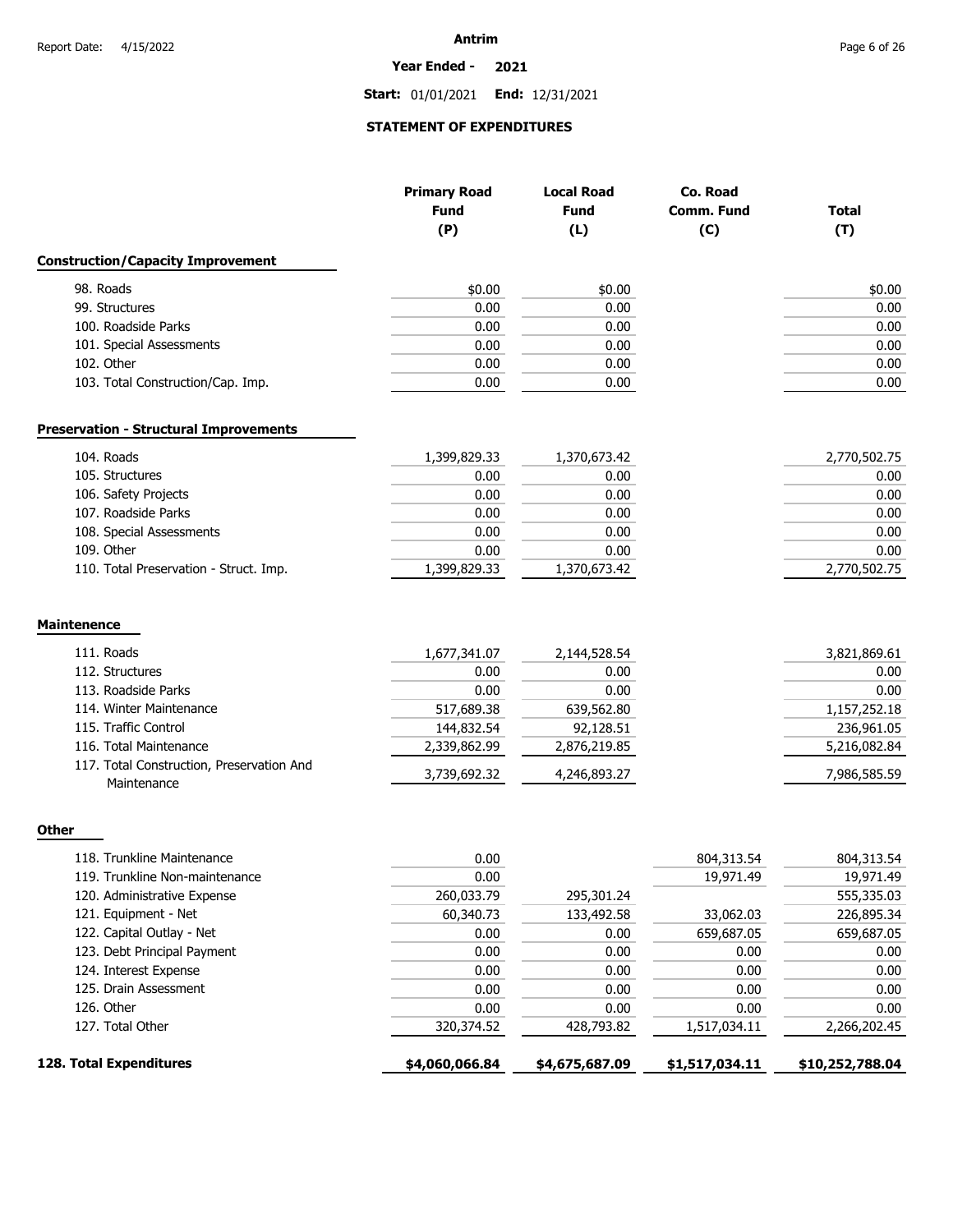#### **Year Ended - 2021**

**Start:** 01/01/2021 **End:** 12/31/2021

### **STATEMENT OF EXPENDITURES**

|                                                          | <b>Primary Road</b> | <b>Local Road</b> | Co. Road          |                 |
|----------------------------------------------------------|---------------------|-------------------|-------------------|-----------------|
|                                                          | <b>Fund</b>         | <b>Fund</b>       | <b>Comm. Fund</b> | <b>Total</b>    |
|                                                          | (P)                 | (L)               | (C)               | (T)             |
| <b>Construction/Capacity Improvement</b>                 |                     |                   |                   |                 |
| 98. Roads                                                | \$0.00              | \$0.00            |                   | \$0.00          |
| 99. Structures                                           | 0.00                | 0.00              |                   | 0.00            |
| 100. Roadside Parks                                      | 0.00                | 0.00              |                   | 0.00            |
| 101. Special Assessments                                 | 0.00                | 0.00              |                   | 0.00            |
| 102. Other                                               | 0.00                | 0.00              |                   | 0.00            |
| 103. Total Construction/Cap. Imp.                        | 0.00                | 0.00              |                   | 0.00            |
| <b>Preservation - Structural Improvements</b>            |                     |                   |                   |                 |
| 104. Roads                                               | 1,399,829.33        | 1,370,673.42      |                   | 2,770,502.75    |
| 105. Structures                                          | 0.00                | 0.00              |                   | 0.00            |
| 106. Safety Projects                                     | 0.00                | 0.00              |                   | 0.00            |
| 107. Roadside Parks                                      | 0.00                | 0.00              |                   | 0.00            |
| 108. Special Assessments                                 | 0.00                | 0.00              |                   | 0.00            |
| 109. Other                                               | 0.00                | 0.00              |                   | 0.00            |
| 110. Total Preservation - Struct. Imp.                   | 1,399,829.33        | 1,370,673.42      |                   | 2,770,502.75    |
| Maintenence                                              |                     |                   |                   |                 |
| 111. Roads                                               | 1,677,341.07        | 2,144,528.54      |                   | 3,821,869.61    |
| 112. Structures                                          | 0.00                | 0.00              |                   | 0.00            |
| 113. Roadside Parks                                      | 0.00                | 0.00              |                   | 0.00            |
| 114. Winter Maintenance                                  | 517,689.38          | 639,562.80        |                   | 1,157,252.18    |
| 115. Traffic Control                                     | 144,832.54          | 92,128.51         |                   | 236,961.05      |
| 116. Total Maintenance                                   | 2,339,862.99        | 2,876,219.85      |                   | 5,216,082.84    |
| 117. Total Construction, Preservation And<br>Maintenance | 3,739,692.32        | 4,246,893.27      |                   | 7,986,585.59    |
| Other                                                    |                     |                   |                   |                 |
| 118. Trunkline Maintenance                               | 0.00                |                   | 804,313.54        | 804,313.54      |
| 119. Trunkline Non-maintenance                           | 0.00                |                   | 19,971.49         | 19,971.49       |
| 120. Administrative Expense                              | 260,033.79          | 295,301.24        |                   | 555,335.03      |
| 121. Equipment - Net                                     | 60,340.73           | 133,492.58        | 33,062.03         | 226,895.34      |
| 122. Capital Outlay - Net                                | 0.00                | 0.00              | 659,687.05        | 659,687.05      |
| 123. Debt Principal Payment                              | 0.00                | 0.00              | 0.00              | 0.00            |
| 124. Interest Expense                                    | 0.00                | 0.00              | 0.00              | 0.00            |
| 125. Drain Assessment                                    | 0.00                | 0.00              | 0.00              | 0.00            |
| 126. Other                                               | 0.00                | 0.00              | 0.00              | 0.00            |
| 127. Total Other                                         | 320,374.52          | 428,793.82        | 1,517,034.11      | 2,266,202.45    |
| 128. Total Expenditures                                  | \$4,060,066.84      | \$4,675,687.09    | \$1,517,034.11    | \$10,252,788.04 |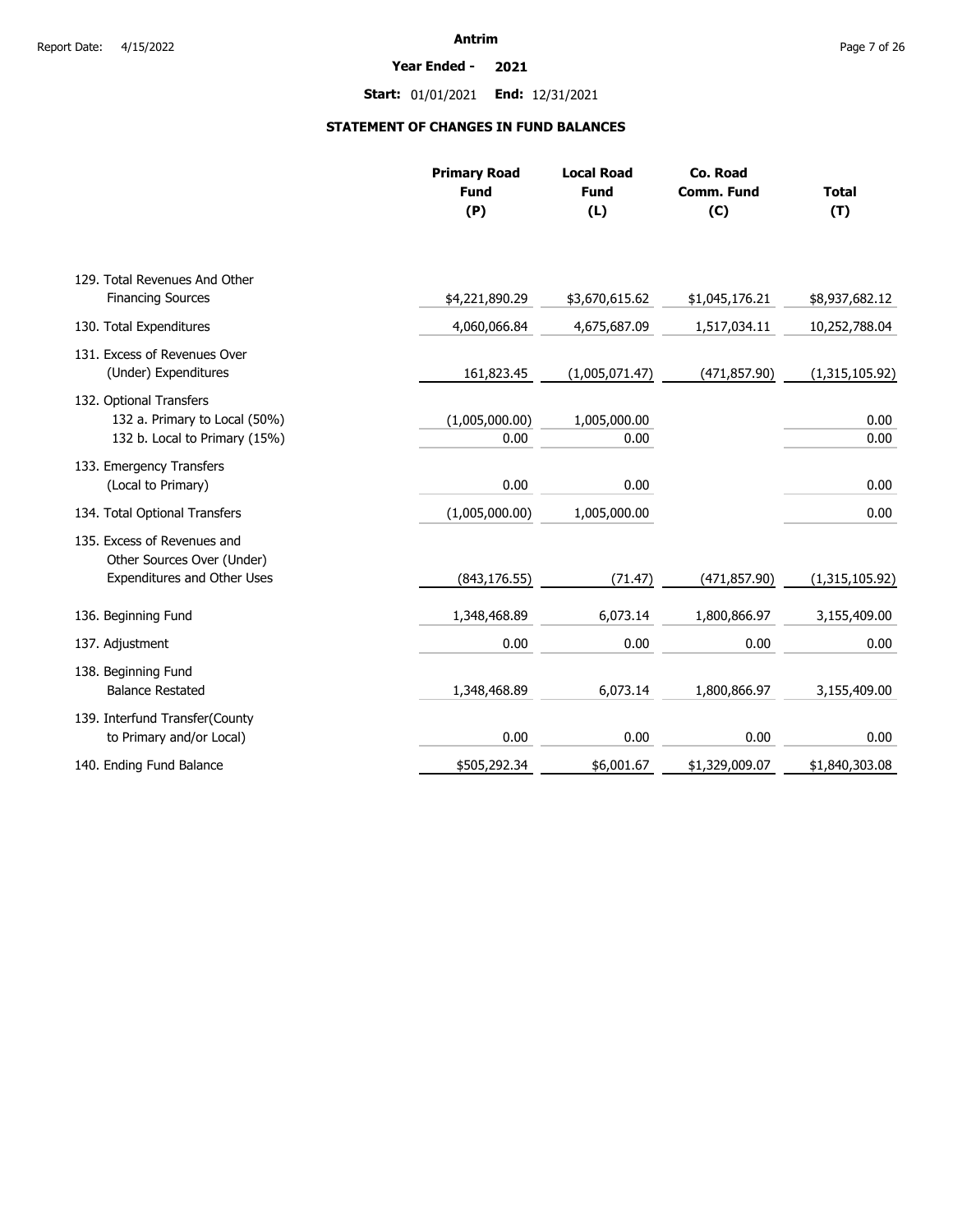#### **Year Ended - 2021**

**Start:** 01/01/2021 **End:** 12/31/2021

# **STATEMENT OF CHANGES IN FUND BALANCES**

|                                                                                           | <b>Primary Road</b><br><b>Fund</b><br>(P) | <b>Local Road</b><br><b>Fund</b><br>(L) | Co. Road<br><b>Comm. Fund</b><br>(C) | <b>Total</b><br>(T) |
|-------------------------------------------------------------------------------------------|-------------------------------------------|-----------------------------------------|--------------------------------------|---------------------|
| 129. Total Revenues And Other                                                             |                                           |                                         |                                      |                     |
| <b>Financing Sources</b>                                                                  | \$4,221,890.29                            | \$3,670,615.62                          | \$1,045,176.21                       | \$8,937,682.12      |
| 130. Total Expenditures                                                                   | 4,060,066.84                              | 4,675,687.09                            | 1,517,034.11                         | 10,252,788.04       |
| 131. Excess of Revenues Over<br>(Under) Expenditures                                      | 161,823.45                                | (1,005,071.47)                          | (471, 857.90)                        | (1,315,105.92)      |
| 132. Optional Transfers<br>132 a. Primary to Local (50%)<br>132 b. Local to Primary (15%) | (1,005,000.00)<br>0.00                    | 1,005,000.00<br>0.00                    |                                      | 0.00<br>0.00        |
| 133. Emergency Transfers<br>(Local to Primary)                                            | 0.00                                      | 0.00                                    |                                      | 0.00                |
| 134. Total Optional Transfers                                                             | (1,005,000.00)                            | 1,005,000.00                            |                                      | 0.00                |
| 135. Excess of Revenues and<br>Other Sources Over (Under)<br>Expenditures and Other Uses  | (843, 176.55)                             | (71.47)                                 | (471, 857.90)                        | (1,315,105.92)      |
| 136. Beginning Fund                                                                       | 1,348,468.89                              | 6,073.14                                | 1,800,866.97                         | 3,155,409.00        |
| 137. Adjustment                                                                           | 0.00                                      | 0.00                                    | 0.00                                 | 0.00                |
| 138. Beginning Fund<br><b>Balance Restated</b>                                            | 1,348,468.89                              | 6,073.14                                | 1,800,866.97                         | 3,155,409.00        |
| 139. Interfund Transfer(County<br>to Primary and/or Local)                                | 0.00                                      | 0.00                                    | 0.00                                 | 0.00                |
| 140. Ending Fund Balance                                                                  | \$505,292.34                              | \$6,001.67                              | \$1,329,009.07                       | \$1,840,303.08      |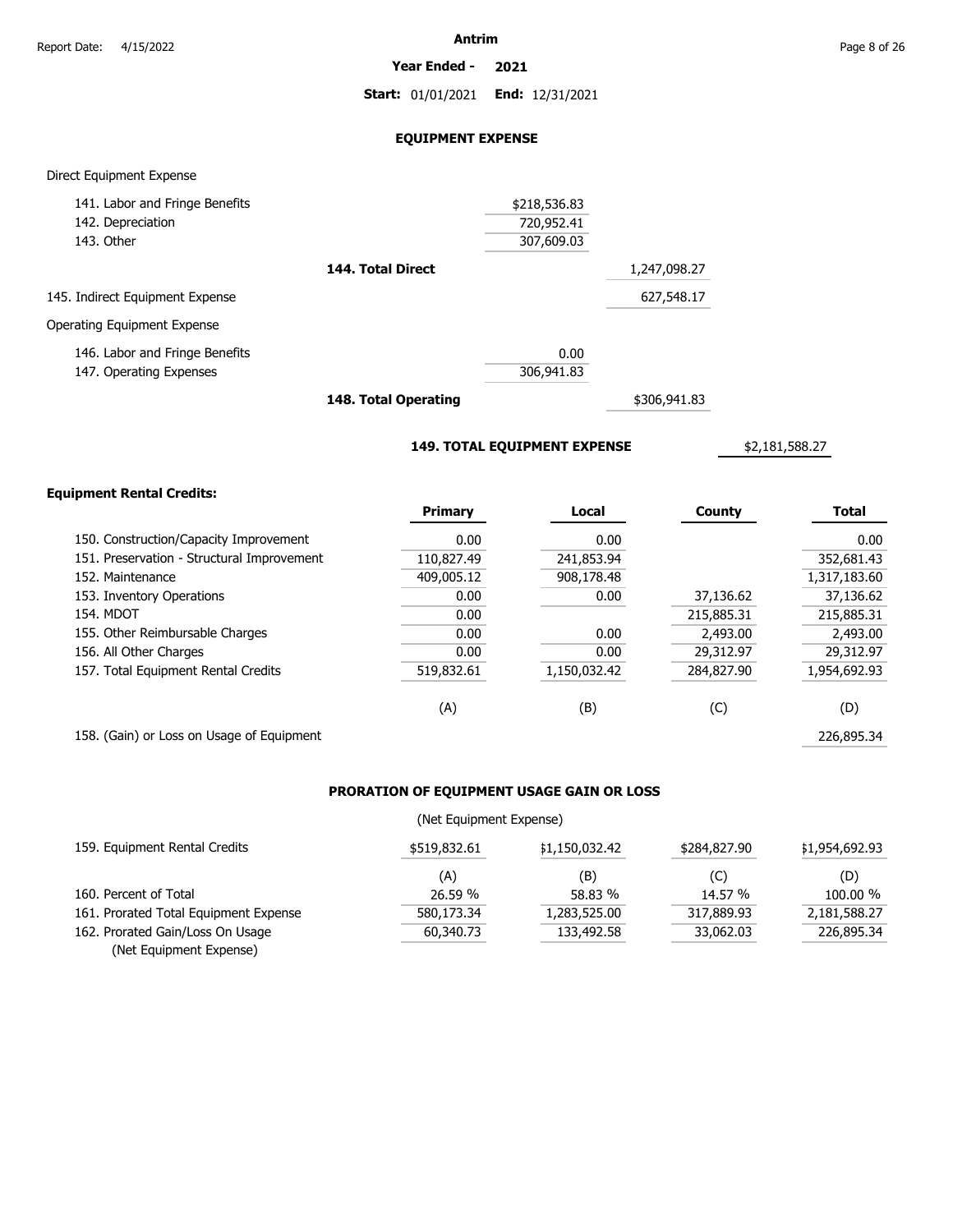**Year Ended - 2021**

**Start:** 01/01/2021 **End:** 12/31/2021

### **EQUIPMENT EXPENSE**

### Direct Equipment Expense

| 141. Labor and Fringe Benefits  |                   | \$218,536.83 |              |
|---------------------------------|-------------------|--------------|--------------|
| 142. Depreciation               |                   | 720,952.41   |              |
| 143. Other                      |                   | 307,609.03   |              |
|                                 | 144. Total Direct |              | 1,247,098.27 |
| 145. Indirect Equipment Expense |                   |              | 627,548.17   |
| Operating Equipment Expense     |                   |              |              |
| 146. Labor and Fringe Benefits  |                   | 0.00         |              |
| 147. Operating Expenses         |                   | 306,941.83   |              |
|                                 |                   |              |              |

**148. Total Operating**

\$306,941.83

**149. TOTAL EQUIPMENT EXPENSE**

\$2,181,588.27

### **Equipment Rental Credits:**

|                                            | <b>Primary</b> | Local        | County     | <b>Total</b> |
|--------------------------------------------|----------------|--------------|------------|--------------|
| 150. Construction/Capacity Improvement     | 0.00           | 0.00         |            | 0.00         |
| 151. Preservation - Structural Improvement | 110,827.49     | 241,853.94   |            | 352,681.43   |
| 152. Maintenance                           | 409,005.12     | 908,178.48   |            | 1,317,183.60 |
| 153. Inventory Operations                  | 0.00           | 0.00         | 37,136.62  | 37,136.62    |
| <b>154. MDOT</b>                           | 0.00           |              | 215,885.31 | 215,885.31   |
| 155. Other Reimbursable Charges            | 0.00           | 0.00         | 2,493.00   | 2,493.00     |
| 156. All Other Charges                     | 0.00           | 0.00         | 29,312.97  | 29,312.97    |
| 157. Total Equipment Rental Credits        | 519,832.61     | 1,150,032.42 | 284,827.90 | 1,954,692.93 |
|                                            | (A)            | (B)          | (C)        | (D)          |
| 158. (Gain) or Loss on Usage of Equipment  |                |              |            | 226,895.34   |

# **PRORATION OF EQUIPMENT USAGE GAIN OR LOSS**

### (Net Equipment Expense)

| 159. Equipment Rental Credits         | \$519,832.61 | \$1,150,032.42 | \$284,827,90 | \$1,954,692.93 |
|---------------------------------------|--------------|----------------|--------------|----------------|
|                                       | (A)          | (B)            | (C)          | (D)            |
| 160. Percent of Total                 | 26.59 %      | 58.83 %        | 14.57 %      | 100.00 %       |
| 161. Prorated Total Equipment Expense | 580,173.34   | 1,283,525.00   | 317,889.93   | 2,181,588.27   |
| 162. Prorated Gain/Loss On Usage      | 60,340,73    | 133,492.58     | 33,062.03    | 226,895.34     |
| (Net Equipment Expense)               |              |                |              |                |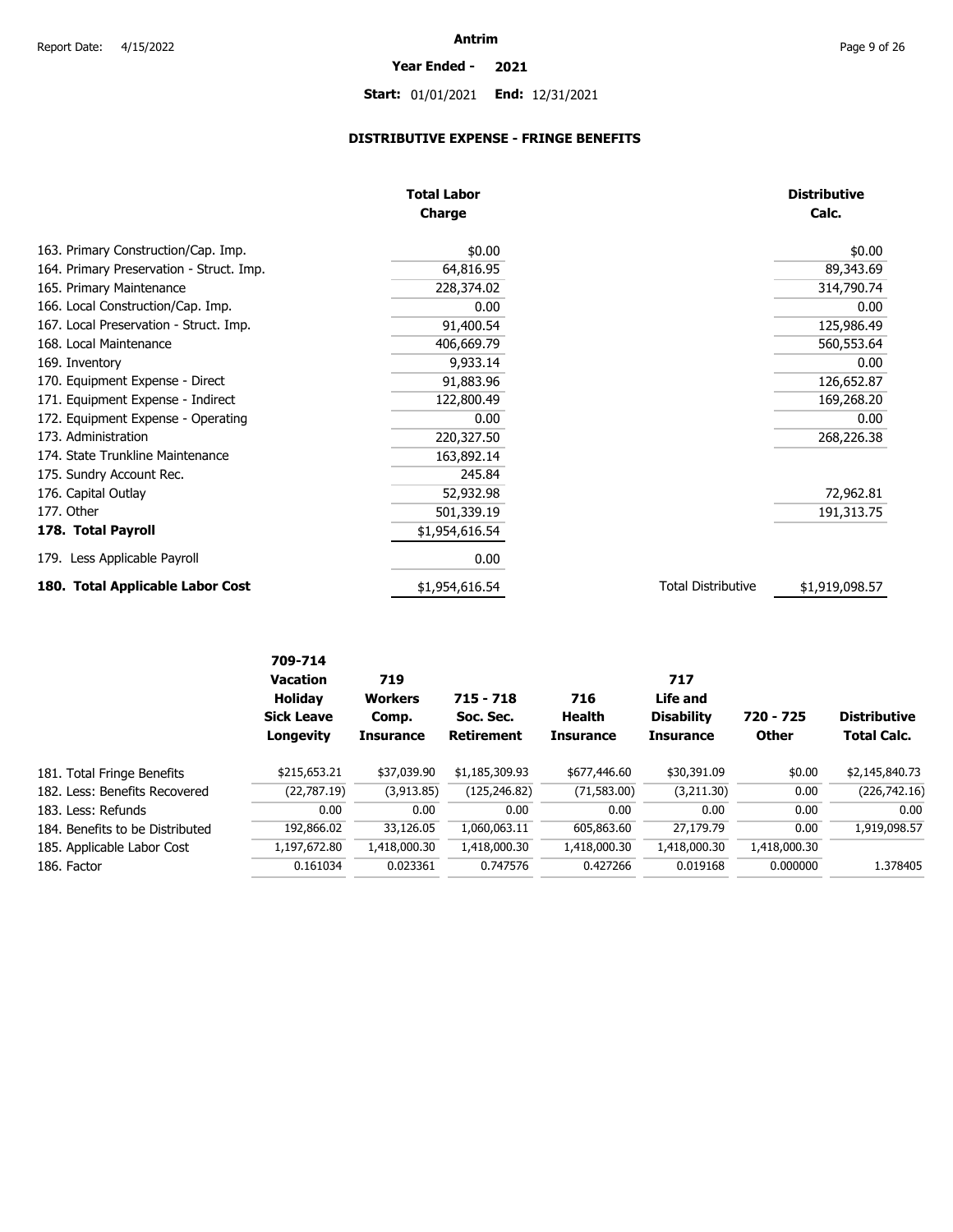# **Year Ended - 2021**

# **Start:** 01/01/2021 **End:** 12/31/2021

# **DISTRIBUTIVE EXPENSE - FRINGE BENEFITS**

|                                          | <b>Total Labor</b><br>Charge |                           | <b>Distributive</b><br>Calc. |
|------------------------------------------|------------------------------|---------------------------|------------------------------|
| 163. Primary Construction/Cap. Imp.      | \$0.00                       |                           | \$0.00                       |
| 164. Primary Preservation - Struct. Imp. | 64,816.95                    |                           | 89,343.69                    |
| 165. Primary Maintenance                 | 228,374.02                   |                           | 314,790.74                   |
| 166. Local Construction/Cap. Imp.        | 0.00                         |                           | 0.00                         |
| 167. Local Preservation - Struct. Imp.   | 91,400.54                    |                           | 125,986.49                   |
| 168. Local Maintenance                   | 406,669.79                   |                           | 560,553.64                   |
| 169. Inventory                           | 9,933.14                     |                           | 0.00                         |
| 170. Equipment Expense - Direct          | 91,883.96                    |                           | 126,652.87                   |
| 171. Equipment Expense - Indirect        | 122,800.49                   |                           | 169,268.20                   |
| 172. Equipment Expense - Operating       | 0.00                         |                           | 0.00                         |
| 173. Administration                      | 220,327.50                   |                           | 268,226.38                   |
| 174. State Trunkline Maintenance         | 163,892.14                   |                           |                              |
| 175. Sundry Account Rec.                 | 245.84                       |                           |                              |
| 176. Capital Outlay                      | 52,932.98                    |                           | 72,962.81                    |
| 177. Other                               | 501,339.19                   |                           | 191,313.75                   |
| 178. Total Payroll                       | \$1,954,616.54               |                           |                              |
| 179. Less Applicable Payroll             | 0.00                         |                           |                              |
| 180. Total Applicable Labor Cost         | \$1,954,616.54               | <b>Total Distributive</b> | \$1,919,098.57               |

|                                 | 709-714<br><b>Vacation</b><br><b>Holiday</b><br><b>Sick Leave</b><br>Longevity | 719<br><b>Workers</b><br>Comp.<br><b>Insurance</b> | $715 - 718$<br>Soc. Sec.<br><b>Retirement</b> | 716<br>Health<br><b>Insurance</b> | 717<br>Life and<br><b>Disability</b><br><b>Insurance</b> | 720 - 725<br><b>Other</b> | <b>Distributive</b><br><b>Total Calc.</b> |
|---------------------------------|--------------------------------------------------------------------------------|----------------------------------------------------|-----------------------------------------------|-----------------------------------|----------------------------------------------------------|---------------------------|-------------------------------------------|
| 181. Total Fringe Benefits      | \$215,653.21                                                                   | \$37,039.90                                        | \$1,185,309.93                                | \$677,446.60                      | \$30,391.09                                              | \$0.00                    | \$2,145,840.73                            |
| 182. Less: Benefits Recovered   | (22,787.19)                                                                    | (3,913.85)                                         | (125,246.82)                                  | (71, 583.00)                      | (3,211.30)                                               | 0.00                      | (226, 742.16)                             |
| 183. Less: Refunds              | 0.00                                                                           | 0.00                                               | 0.00                                          | 0.00                              | 0.00                                                     | 0.00                      | 0.00                                      |
| 184. Benefits to be Distributed | 192,866.02                                                                     | 33,126.05                                          | 1.060.063.11                                  | 605,863.60                        | 27,179.79                                                | 0.00                      | 1,919,098.57                              |
| 185. Applicable Labor Cost      | 1,197,672.80                                                                   | 1,418,000.30                                       | 1,418,000.30                                  | 1,418,000.30                      | 1,418,000.30                                             | 1,418,000.30              |                                           |
| 186. Factor                     | 0.161034                                                                       | 0.023361                                           | 0.747576                                      | 0.427266                          | 0.019168                                                 | 0.000000                  | 1.378405                                  |
|                                 |                                                                                |                                                    |                                               |                                   |                                                          |                           |                                           |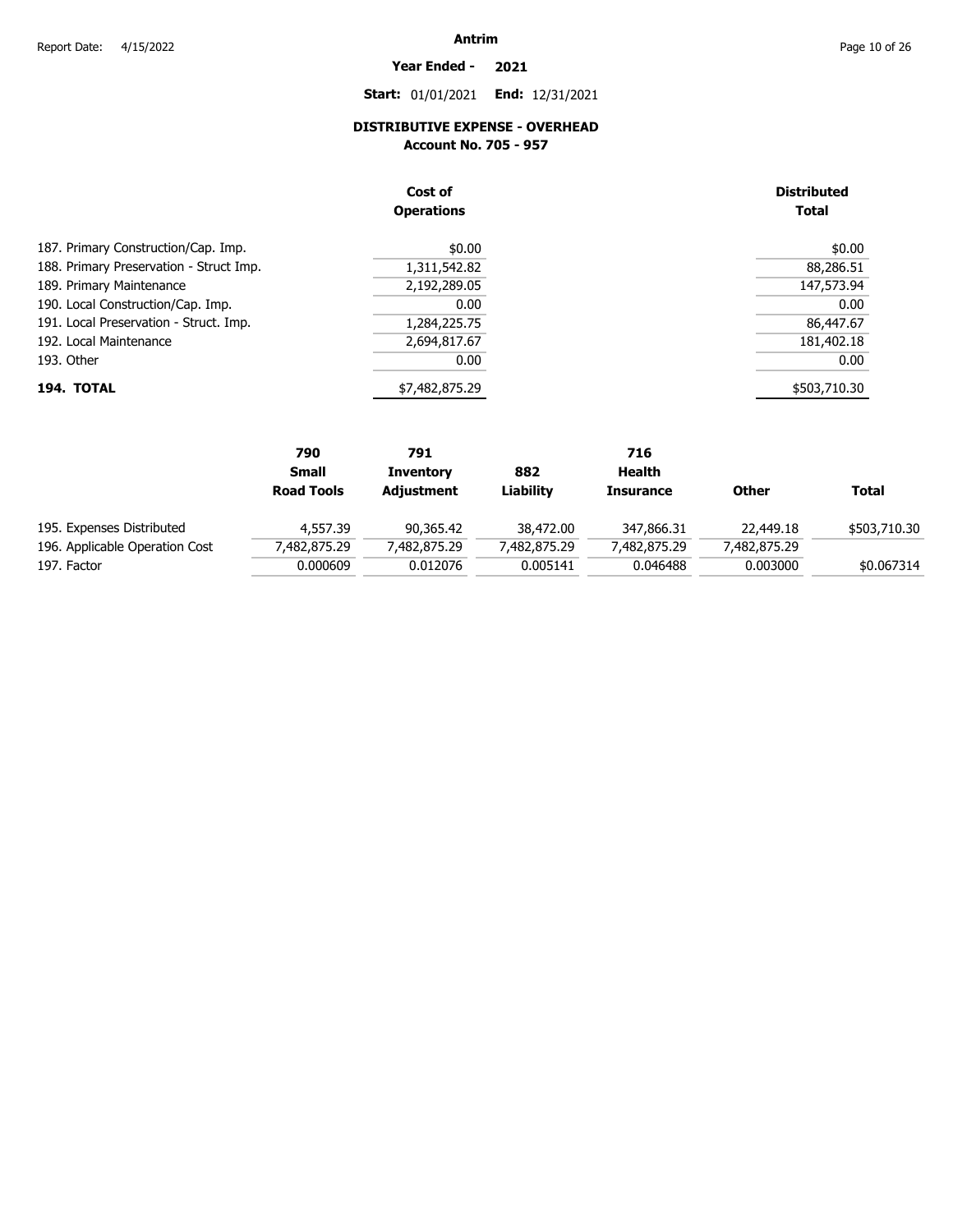**Year Ended - 2021**

**Start:** 01/01/2021 **End:** 12/31/2021

# **DISTRIBUTIVE EXPENSE - OVERHEAD**

**Account No. 705 - 957** 

|                                         | Cost of<br><b>Operations</b> | <b>Distributed</b><br><b>Total</b> |
|-----------------------------------------|------------------------------|------------------------------------|
| 187. Primary Construction/Cap. Imp.     | \$0.00                       | \$0.00                             |
| 188. Primary Preservation - Struct Imp. | 1,311,542.82                 | 88,286.51                          |
| 189. Primary Maintenance                | 2,192,289.05                 | 147,573.94                         |
| 190. Local Construction/Cap. Imp.       | 0.00                         | 0.00                               |
| 191. Local Preservation - Struct. Imp.  | 1,284,225.75                 | 86,447.67                          |
| 192. Local Maintenance                  | 2,694,817.67                 | 181,402.18                         |
| 193. Other                              | 0.00                         | 0.00                               |
| 194. TOTAL                              | \$7,482,875.29               | \$503,710.30                       |

|                                | 790               | 791              |              | 716              |              |              |
|--------------------------------|-------------------|------------------|--------------|------------------|--------------|--------------|
|                                | <b>Small</b>      | <b>Inventory</b> | 882          | Health           |              |              |
|                                | <b>Road Tools</b> | Adjustment       | Liability    | <b>Insurance</b> | <b>Other</b> | Total        |
| 195. Expenses Distributed      | 4,557.39          | 90,365.42        | 38,472.00    | 347,866.31       | 22,449.18    | \$503,710.30 |
| 196. Applicable Operation Cost | 482,875.29"       | 7,482,875.29     | 7,482,875.29 | 7,482,875.29     | 7,482,875.29 |              |
| 197. Factor                    | 0.000609          | 0.012076         | 0.005141     | 0.046488         | 0.003000     | \$0.067314   |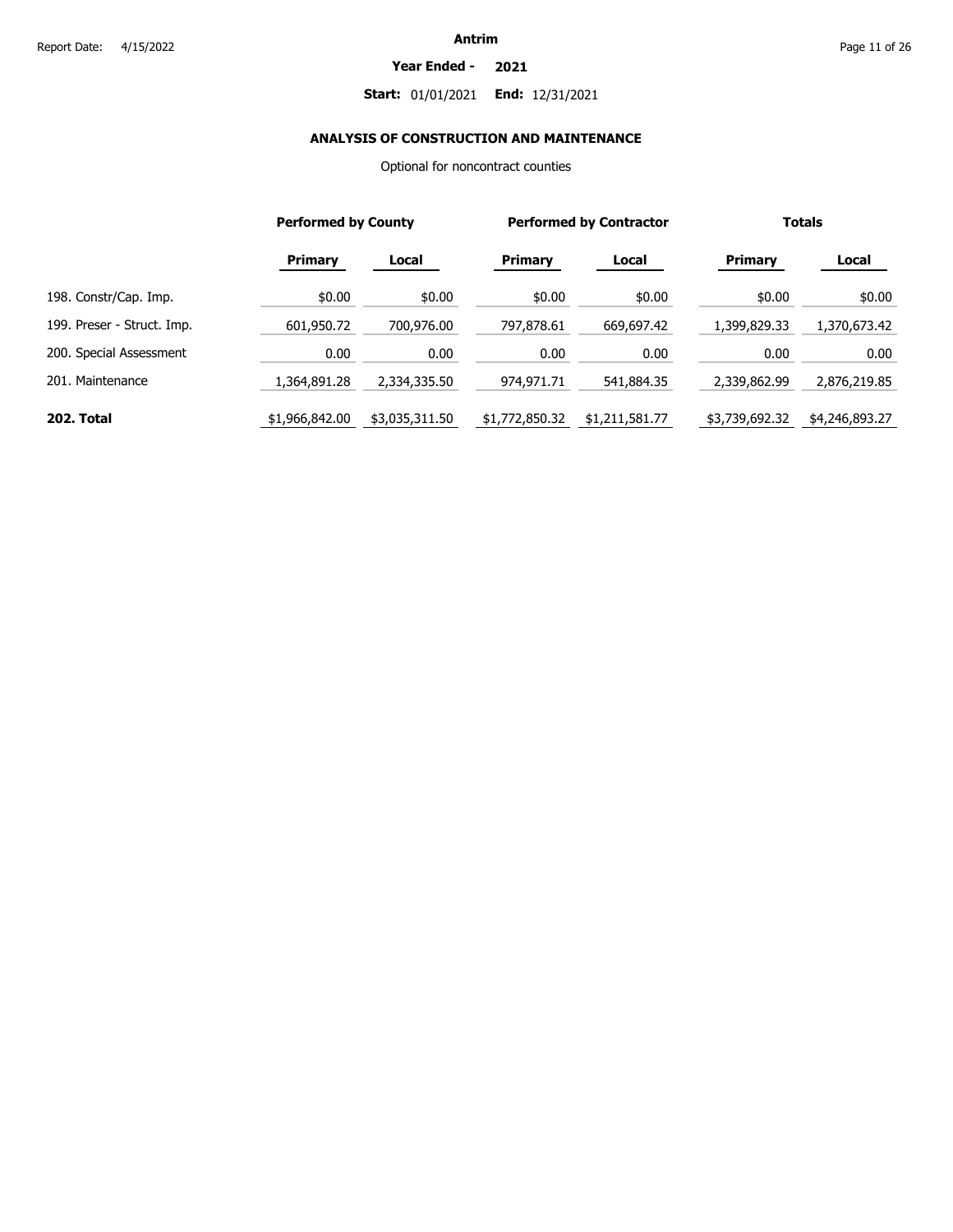#### **Year Ended - 2021**

### **Start:** 01/01/2021 **End:** 12/31/2021

# **ANALYSIS OF CONSTRUCTION AND MAINTENANCE**

Optional for noncontract counties

|                            |                | <b>Performed by County</b> |                | <b>Performed by Contractor</b> |                | <b>Totals</b>  |  |
|----------------------------|----------------|----------------------------|----------------|--------------------------------|----------------|----------------|--|
|                            | <b>Primary</b> | Local                      | Primary        | Local                          | <b>Primary</b> | Local          |  |
| 198. Constr/Cap. Imp.      | \$0.00         | \$0.00                     | \$0.00         | \$0.00                         | \$0.00         | \$0.00         |  |
| 199. Preser - Struct. Imp. | 601,950.72     | 700,976.00                 | 797,878.61     | 669,697.42                     | 1,399,829.33   | 1,370,673.42   |  |
| 200. Special Assessment    | 0.00           | 0.00                       | 0.00           | 0.00                           | 0.00           | 0.00           |  |
| 201. Maintenance           | 1,364,891.28   | 2,334,335.50               | 974,971.71     | 541,884.35                     | 2,339,862.99   | 2,876,219.85   |  |
| 202. Total                 | \$1,966,842.00 | \$3,035,311.50             | \$1,772,850.32 | \$1,211,581.77                 | \$3,739,692.32 | \$4,246,893.27 |  |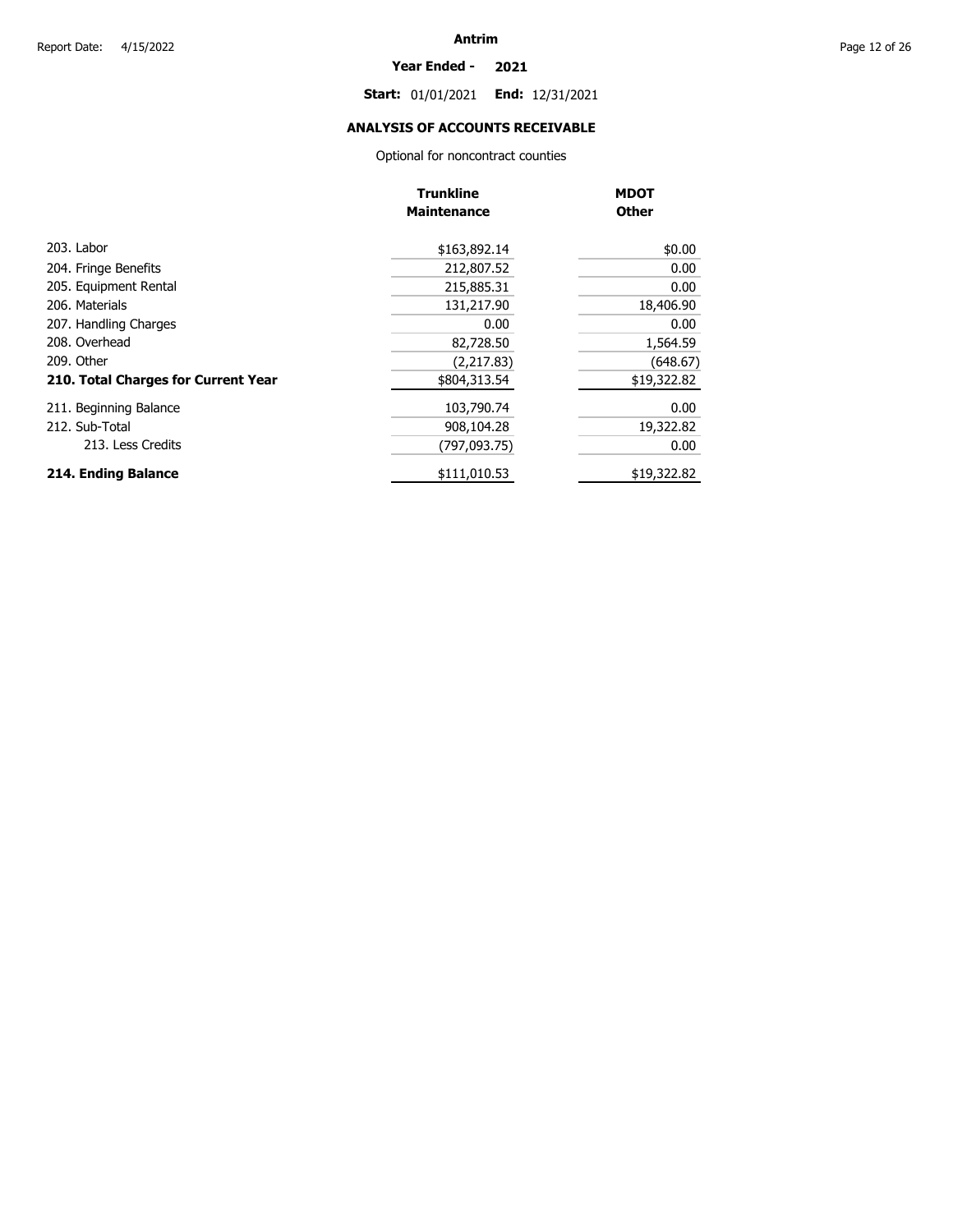#### **Year Ended - 2021**

**Start:** 01/01/2021 **End:** 12/31/2021

# **ANALYSIS OF ACCOUNTS RECEIVABLE**

Optional for noncontract counties

|                                     | <b>Trunkline</b><br><b>Maintenance</b> | <b>MDOT</b><br><b>Other</b> |
|-------------------------------------|----------------------------------------|-----------------------------|
|                                     |                                        |                             |
| 203. Labor                          | \$163,892.14                           | \$0.00                      |
| 204. Fringe Benefits                | 212,807.52                             | 0.00                        |
| 205. Equipment Rental               | 215,885.31                             | 0.00                        |
| 206. Materials                      | 131,217.90                             | 18,406.90                   |
| 207. Handling Charges               | 0.00                                   | 0.00                        |
| 208. Overhead                       | 82,728.50                              | 1,564.59                    |
| 209. Other                          | (2,217.83)                             | (648.67)                    |
| 210. Total Charges for Current Year | \$804,313.54                           | \$19,322.82                 |
| 211. Beginning Balance              | 103,790.74                             | 0.00                        |
| 212. Sub-Total                      | 908,104.28                             | 19,322.82                   |
| 213. Less Credits                   | (797.093.75)                           | 0.00                        |
| 214. Ending Balance                 | \$111,010.53                           | \$19,322.82                 |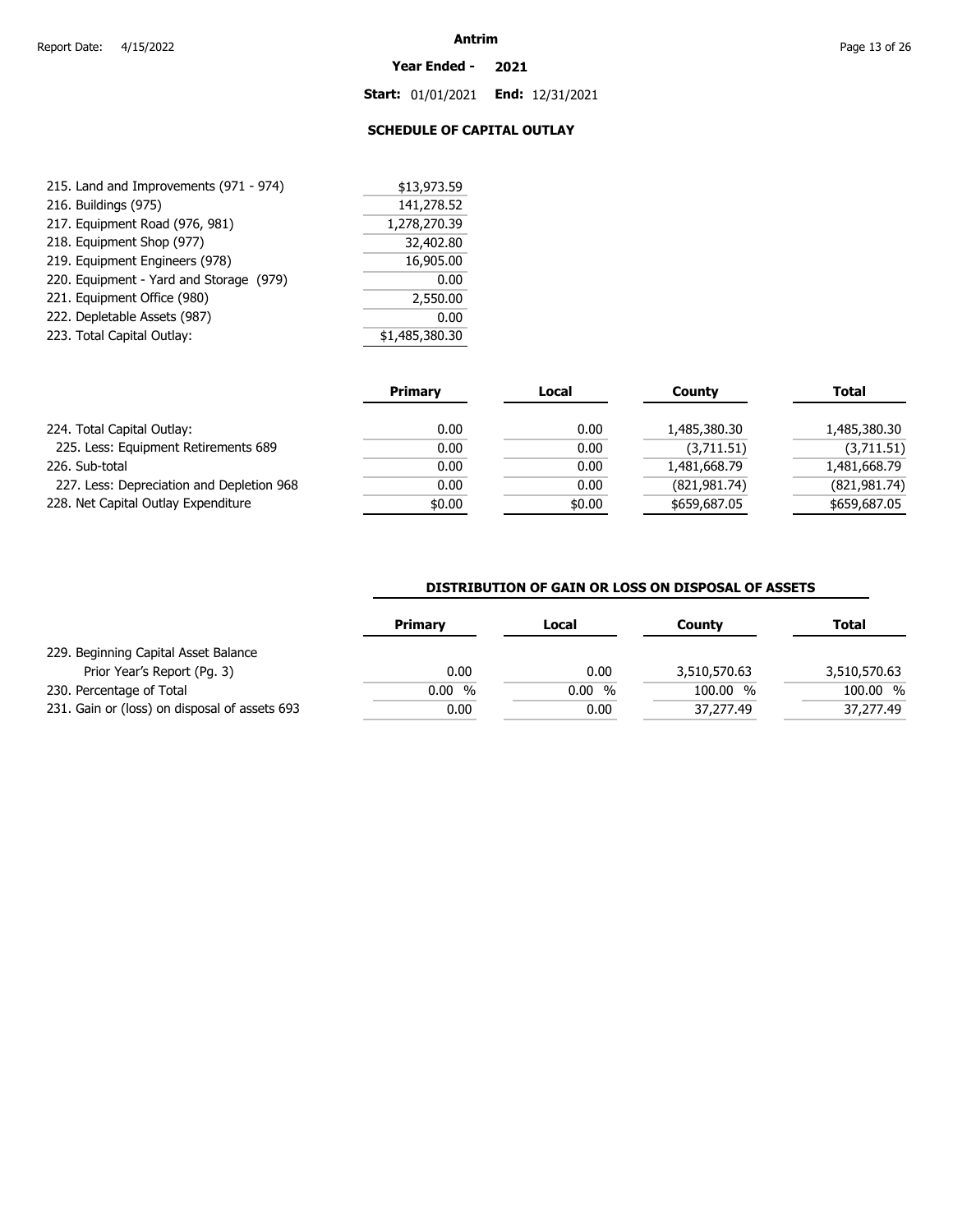#### **Year Ended - 2021**

**Start:** 01/01/2021 **End:** 12/31/2021

# **SCHEDULE OF CAPITAL OUTLAY**

| 215. Land and Improvements (971 - 974)  | \$13,973.59    |
|-----------------------------------------|----------------|
| 216. Buildings (975)                    | 141,278.52     |
| 217. Equipment Road (976, 981)          | 1,278,270.39   |
| 218. Equipment Shop (977)               | 32,402.80      |
| 219. Equipment Engineers (978)          | 16,905.00      |
| 220. Equipment - Yard and Storage (979) | 0.00           |
| 221. Equipment Office (980)             | 2,550.00       |
| 222. Depletable Assets (987)            | 0.00           |
| 223. Total Capital Outlay:              | \$1,485,380.30 |

|                                           | <b>Primary</b> | Local  | County         | <b>Total</b>  |
|-------------------------------------------|----------------|--------|----------------|---------------|
| 224. Total Capital Outlay:                | 0.00           | 0.00   | 1,485,380.30   | 1,485,380.30  |
| 225. Less: Equipment Retirements 689      | 0.00           | 0.00   | (3,711.51)     | (3,711.51)    |
| 226. Sub-total                            | 0.00           | 0.00   | 1,481,668.79   | 1,481,668.79  |
| 227. Less: Depreciation and Depletion 968 | 0.00           | 0.00   | (821, 981, 74) | (821, 981.74) |
| 228. Net Capital Outlay Expenditure       | \$0.00         | \$0.00 | \$659,687.05   | \$659,687.05  |

### **DISTRIBUTION OF GAIN OR LOSS ON DISPOSAL OF ASSETS**

|                                               | Primary   | Local | County         | Total        |
|-----------------------------------------------|-----------|-------|----------------|--------------|
| 229. Beginning Capital Asset Balance          |           |       |                |              |
| Prior Year's Report (Pg. 3)                   | 0.00      | 0.00  | 3,510,570.63   | 3,510,570.63 |
| 230. Percentage of Total                      | %<br>0.00 | 0.00% | 100.00<br>$\%$ | 100.00 %     |
| 231. Gain or (loss) on disposal of assets 693 | 0.00      | 0.00  | 37,277.49      | 37,277.49    |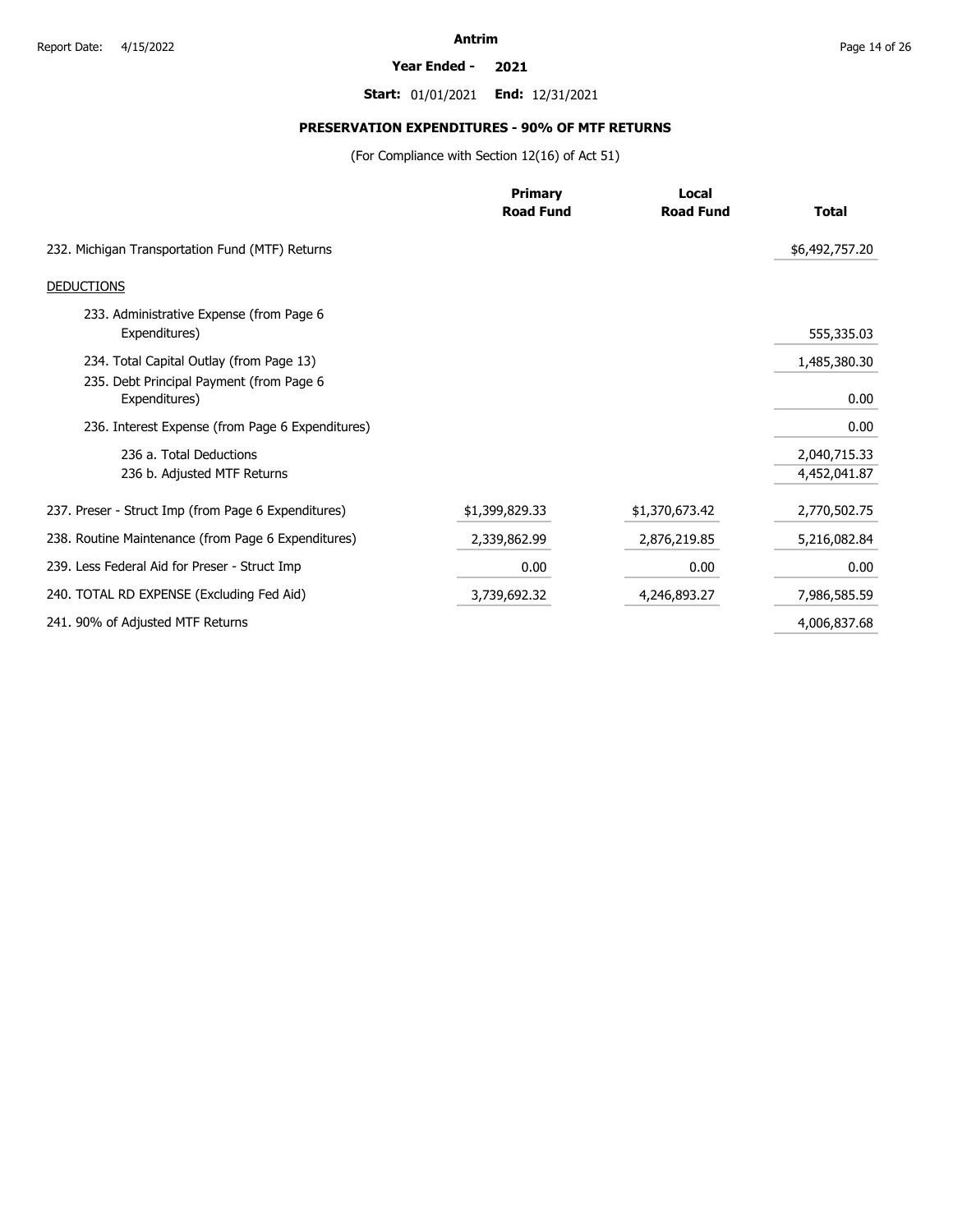#### **Year Ended - 2021**

**Start:** 01/01/2021 **End:** 12/31/2021

# **PRESERVATION EXPENDITURES - 90% OF MTF RETURNS**

(For Compliance with Section 12(16) of Act 51)

|                                                           | <b>Primary</b>   | Local            |                              |
|-----------------------------------------------------------|------------------|------------------|------------------------------|
|                                                           | <b>Road Fund</b> | <b>Road Fund</b> | <b>Total</b>                 |
| 232. Michigan Transportation Fund (MTF) Returns           |                  |                  | \$6,492,757.20               |
| <b>DEDUCTIONS</b>                                         |                  |                  |                              |
| 233. Administrative Expense (from Page 6<br>Expenditures) |                  |                  | 555,335.03                   |
| 234. Total Capital Outlay (from Page 13)                  |                  |                  | 1,485,380.30                 |
| 235. Debt Principal Payment (from Page 6<br>Expenditures) |                  |                  | 0.00                         |
| 236. Interest Expense (from Page 6 Expenditures)          |                  |                  | 0.00                         |
| 236 a. Total Deductions<br>236 b. Adjusted MTF Returns    |                  |                  | 2,040,715.33<br>4,452,041.87 |
| 237. Preser - Struct Imp (from Page 6 Expenditures)       | \$1,399,829.33   | \$1,370,673.42   | 2,770,502.75                 |
| 238. Routine Maintenance (from Page 6 Expenditures)       | 2,339,862.99     | 2,876,219.85     | 5,216,082.84                 |
| 239. Less Federal Aid for Preser - Struct Imp             | 0.00             | 0.00             | 0.00                         |
| 240. TOTAL RD EXPENSE (Excluding Fed Aid)                 | 3,739,692.32     | 4,246,893.27     | 7,986,585.59                 |
| 241. 90% of Adjusted MTF Returns                          |                  |                  | 4,006,837.68                 |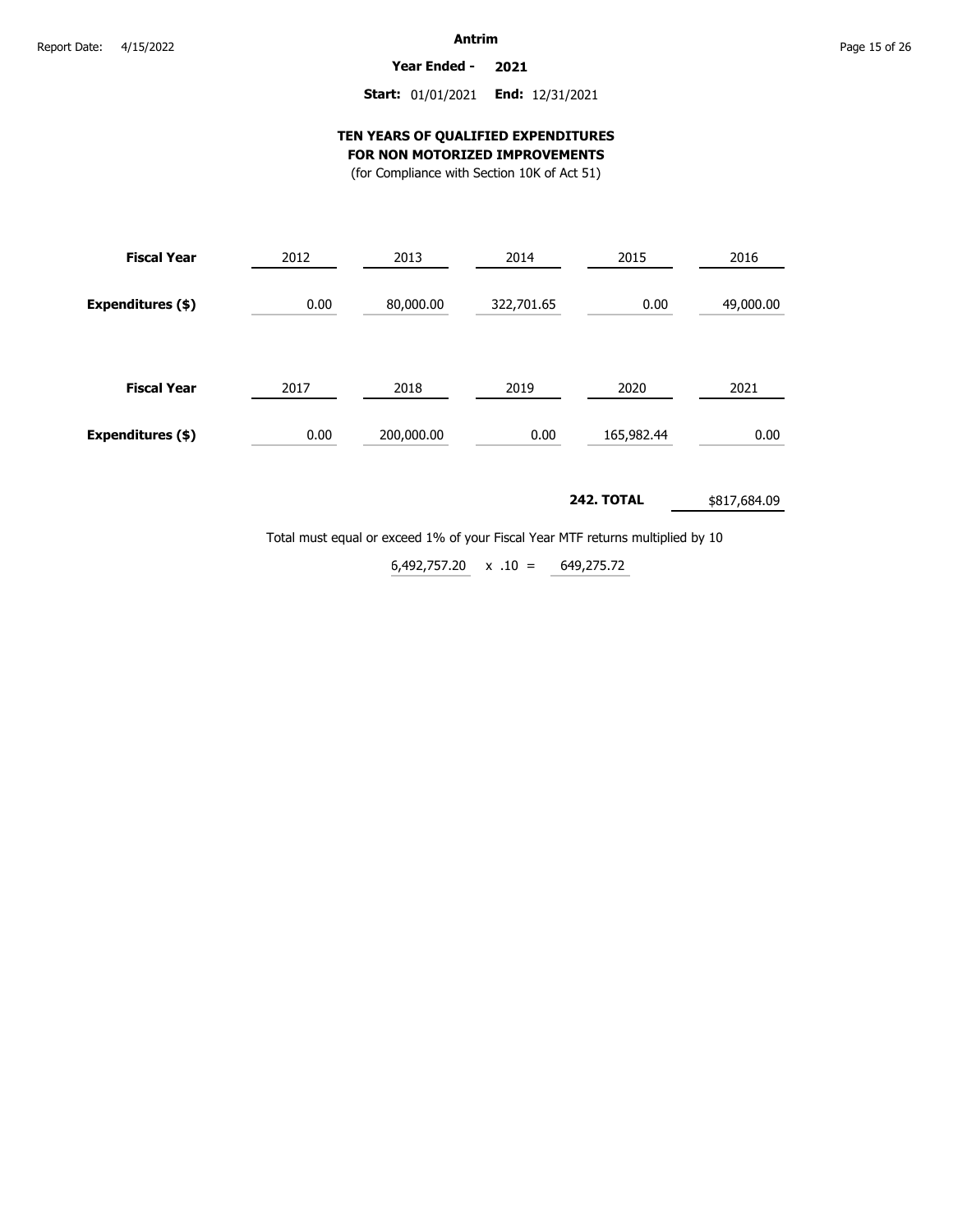**Year Ended - 2021**

# **Start:** 01/01/2021 **End:** 12/31/2021

### **TEN YEARS OF QUALIFIED EXPENDITURES FOR NON MOTORIZED IMPROVEMENTS**

(for Compliance with Section 10K of Act 51)

| <b>Fiscal Year</b> | 2012 | 2013       | 2014       | 2015       | 2016      |
|--------------------|------|------------|------------|------------|-----------|
| Expenditures (\$)  | 0.00 | 80,000.00  | 322,701.65 | 0.00       | 49,000.00 |
| <b>Fiscal Year</b> | 2017 | 2018       | 2019       | 2020       | 2021      |
| Expenditures (\$)  | 0.00 | 200,000.00 | 0.00       | 165,982.44 | 0.00      |

#### **242. TOTAL** \$817,684.09

Total must equal or exceed 1% of your Fiscal Year MTF returns multiplied by 10

 $6,492,757.20 \times .10 = 649,275.72$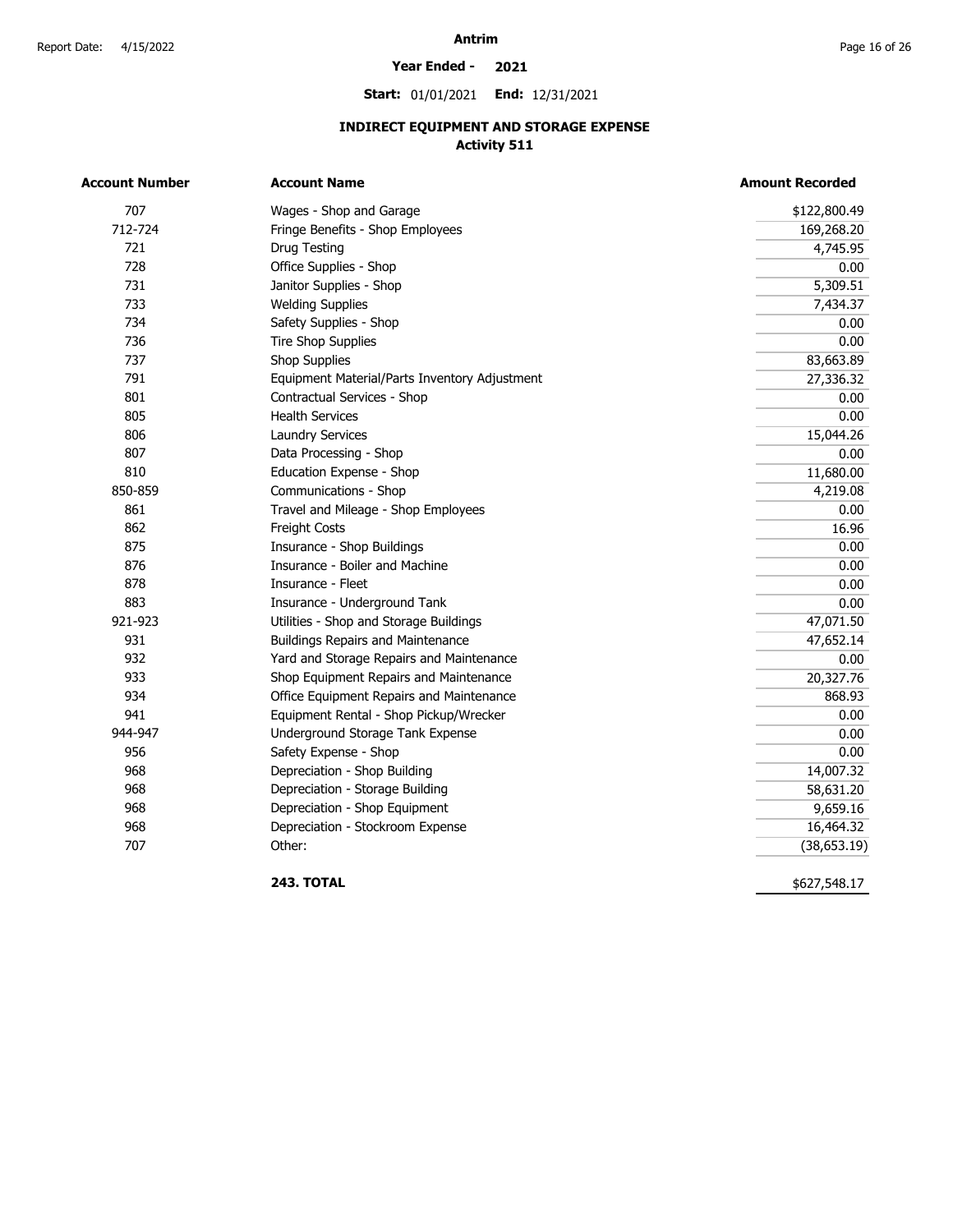### **Year Ended - 2021**

**Start:** 01/01/2021 **End:** 12/31/2021

# **INDIRECT EQUIPMENT AND STORAGE EXPENSE Activity 511**

|         | <b>Account Name</b>                           | <b>Amount Recorded</b> |
|---------|-----------------------------------------------|------------------------|
| 707     | Wages - Shop and Garage                       | \$122,800.49           |
| 712-724 | Fringe Benefits - Shop Employees              | 169,268.20             |
| 721     | Drug Testing                                  | 4,745.95               |
| 728     | Office Supplies - Shop                        | 0.00                   |
| 731     | Janitor Supplies - Shop                       | 5,309.51               |
| 733     | <b>Welding Supplies</b>                       | 7,434.37               |
| 734     | Safety Supplies - Shop                        | 0.00                   |
| 736     | <b>Tire Shop Supplies</b>                     | 0.00                   |
| 737     | <b>Shop Supplies</b>                          | 83,663.89              |
| 791     | Equipment Material/Parts Inventory Adjustment | 27,336.32              |
| 801     | Contractual Services - Shop                   | 0.00                   |
| 805     | <b>Health Services</b>                        | 0.00                   |
| 806     | <b>Laundry Services</b>                       | 15,044.26              |
| 807     | Data Processing - Shop                        | 0.00                   |
| 810     | Education Expense - Shop                      | 11,680.00              |
| 850-859 | Communications - Shop                         | 4,219.08               |
| 861     | Travel and Mileage - Shop Employees           | 0.00                   |
| 862     | <b>Freight Costs</b>                          | 16.96                  |
| 875     | Insurance - Shop Buildings                    | 0.00                   |
| 876     | Insurance - Boiler and Machine                | 0.00                   |
| 878     | Insurance - Fleet                             | 0.00                   |
| 883     | Insurance - Underground Tank                  | 0.00                   |
| 921-923 | Utilities - Shop and Storage Buildings        | 47,071.50              |
| 931     | <b>Buildings Repairs and Maintenance</b>      | 47,652.14              |
| 932     | Yard and Storage Repairs and Maintenance      | 0.00                   |
| 933     | Shop Equipment Repairs and Maintenance        | 20,327.76              |
| 934     | Office Equipment Repairs and Maintenance      | 868.93                 |
| 941     | Equipment Rental - Shop Pickup/Wrecker        | 0.00                   |
| 944-947 | Underground Storage Tank Expense              | 0.00                   |
| 956     | Safety Expense - Shop                         | 0.00                   |
| 968     | Depreciation - Shop Building                  | 14,007.32              |
| 968     | Depreciation - Storage Building               | 58,631.20              |
| 968     | Depreciation - Shop Equipment                 | 9,659.16               |
| 968     | Depreciation - Stockroom Expense              | 16,464.32              |
| 707     | Other:                                        | (38, 653.19)           |

**243. TOTAL** 

\$627,548.17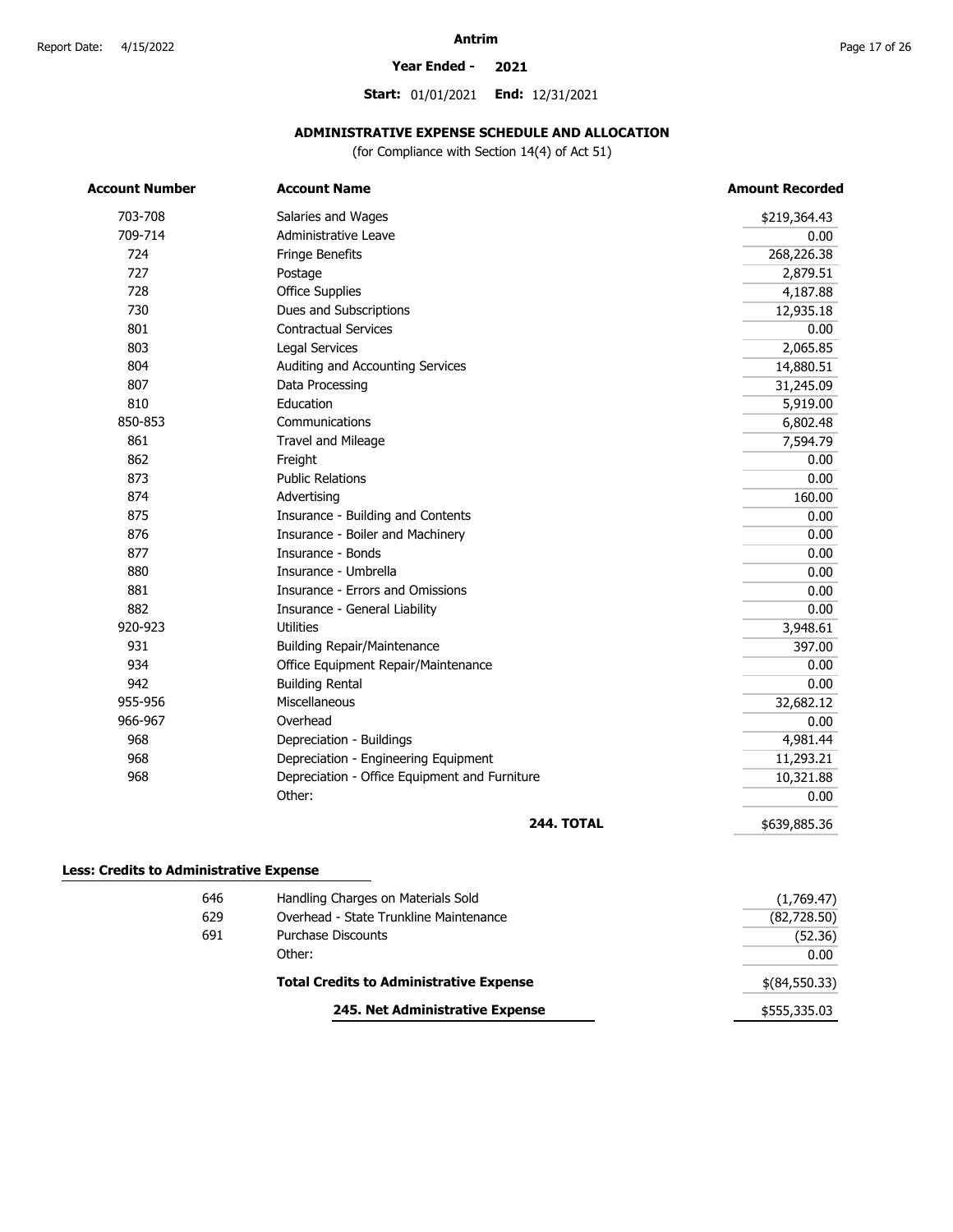0.00

#### **Year Ended - 2021**

**Start:** 01/01/2021 **End:** 12/31/2021

### **ADMINISTRATIVE EXPENSE SCHEDULE AND ALLOCATION**

(for Compliance with Section 14(4) of Act 51)

| <b>Account Number</b>                          | <b>Account Name</b>                           | <b>Amount Recorded</b> |
|------------------------------------------------|-----------------------------------------------|------------------------|
| 703-708                                        | Salaries and Wages                            | \$219,364.43           |
| 709-714                                        | Administrative Leave                          | 0.00                   |
| 724                                            | Fringe Benefits                               | 268,226.38             |
| 727                                            | Postage                                       | 2,879.51               |
| 728                                            | <b>Office Supplies</b>                        | 4,187.88               |
| 730                                            | Dues and Subscriptions                        | 12,935.18              |
| 801                                            | <b>Contractual Services</b>                   | 0.00                   |
| 803                                            | Legal Services                                | 2,065.85               |
| 804                                            | Auditing and Accounting Services              | 14,880.51              |
| 807                                            | Data Processing                               | 31,245.09              |
| 810                                            | Education                                     | 5,919.00               |
| 850-853                                        | Communications                                | 6,802.48               |
| 861                                            | <b>Travel and Mileage</b>                     | 7,594.79               |
| 862                                            | Freight                                       | 0.00                   |
| 873                                            | <b>Public Relations</b>                       | 0.00                   |
| 874                                            | Advertising                                   | 160.00                 |
| 875                                            | Insurance - Building and Contents             | 0.00                   |
| 876                                            | Insurance - Boiler and Machinery              | 0.00                   |
| 877                                            | Insurance - Bonds                             | 0.00                   |
| 880                                            | Insurance - Umbrella                          | 0.00                   |
| 881                                            | Insurance - Errors and Omissions              | 0.00                   |
| 882                                            | Insurance - General Liability                 | 0.00                   |
| 920-923                                        | <b>Utilities</b>                              | 3,948.61               |
| 931                                            | <b>Building Repair/Maintenance</b>            | 397.00                 |
| 934                                            | Office Equipment Repair/Maintenance           | 0.00                   |
| 942                                            | <b>Building Rental</b>                        | 0.00                   |
| 955-956                                        | Miscellaneous                                 | 32,682.12              |
| 966-967                                        | Overhead                                      | 0.00                   |
| 968                                            | Depreciation - Buildings                      | 4,981.44               |
| 968                                            | Depreciation - Engineering Equipment          | 11,293.21              |
| 968                                            | Depreciation - Office Equipment and Furniture | 10,321.88              |
|                                                | Other:                                        | 0.00                   |
|                                                | <b>244. TOTAL</b>                             | \$639,885.36           |
| <b>Less: Credits to Administrative Expense</b> |                                               |                        |
|                                                | 646<br>Handling Charges on Materials Sold     | (1,769.47)             |
|                                                | 629<br>Overhead - State Trunkline Maintenance | (82, 728.50)           |
|                                                | 691<br><b>Purchase Discounts</b>              | (52.36)                |

Other:

| <b>Total Credits to Administrative Expense</b> | $$$ (84,550.33) |
|------------------------------------------------|-----------------|
| 245. Net Administrative Expense                | \$555,335.03    |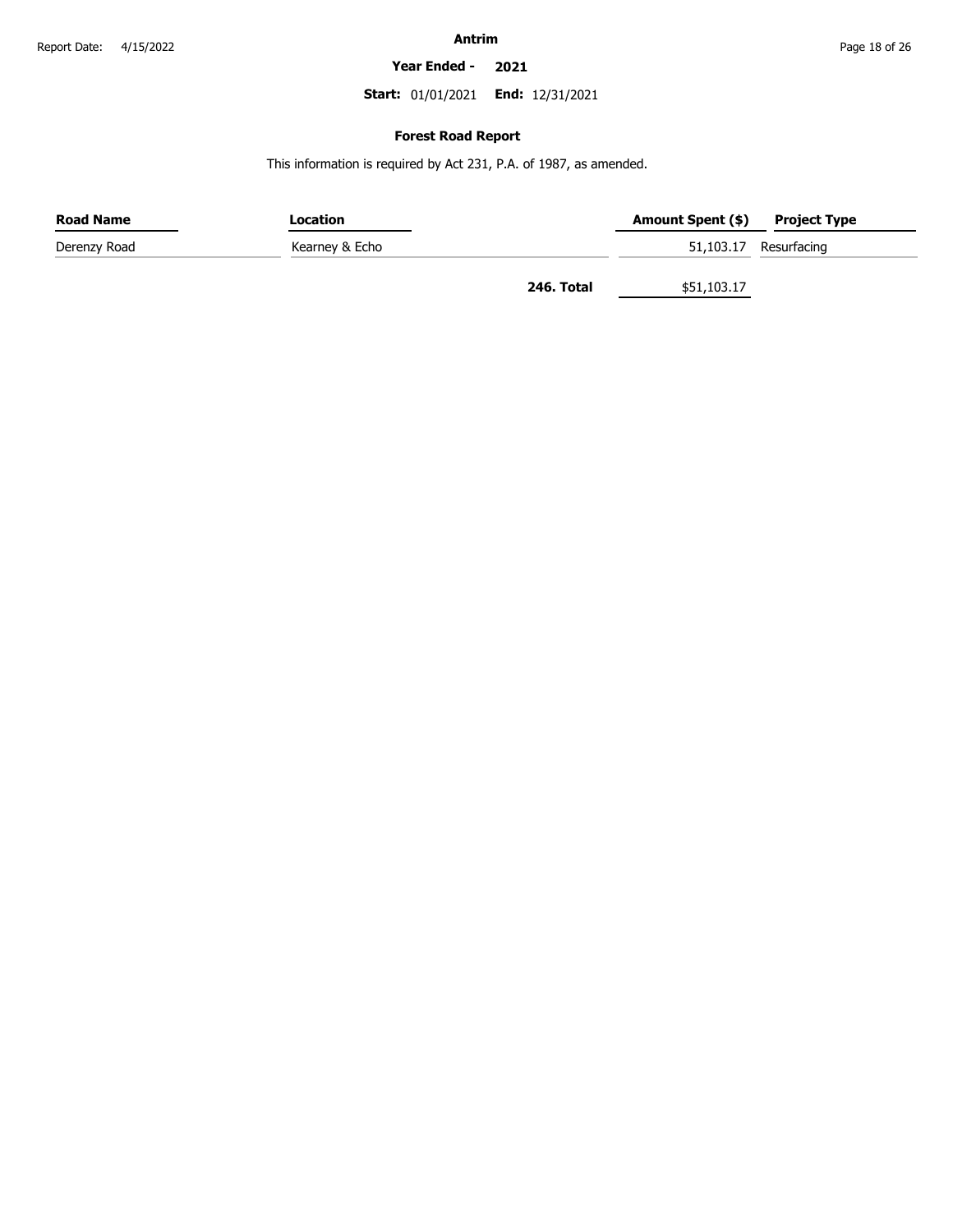#### **Year Ended - 2021**

**Start:** 01/01/2021 **End:** 12/31/2021

### **Forest Road Report**

This information is required by Act 231, P.A. of 1987, as amended.

| <b>Road Name</b> | Location       |            | Amount Spent (\$) | <b>Project Type</b>   |
|------------------|----------------|------------|-------------------|-----------------------|
| Derenzy Road     | Kearney & Echo |            |                   | 51,103.17 Resurfacing |
|                  |                | 246. Total | \$51,103.17       |                       |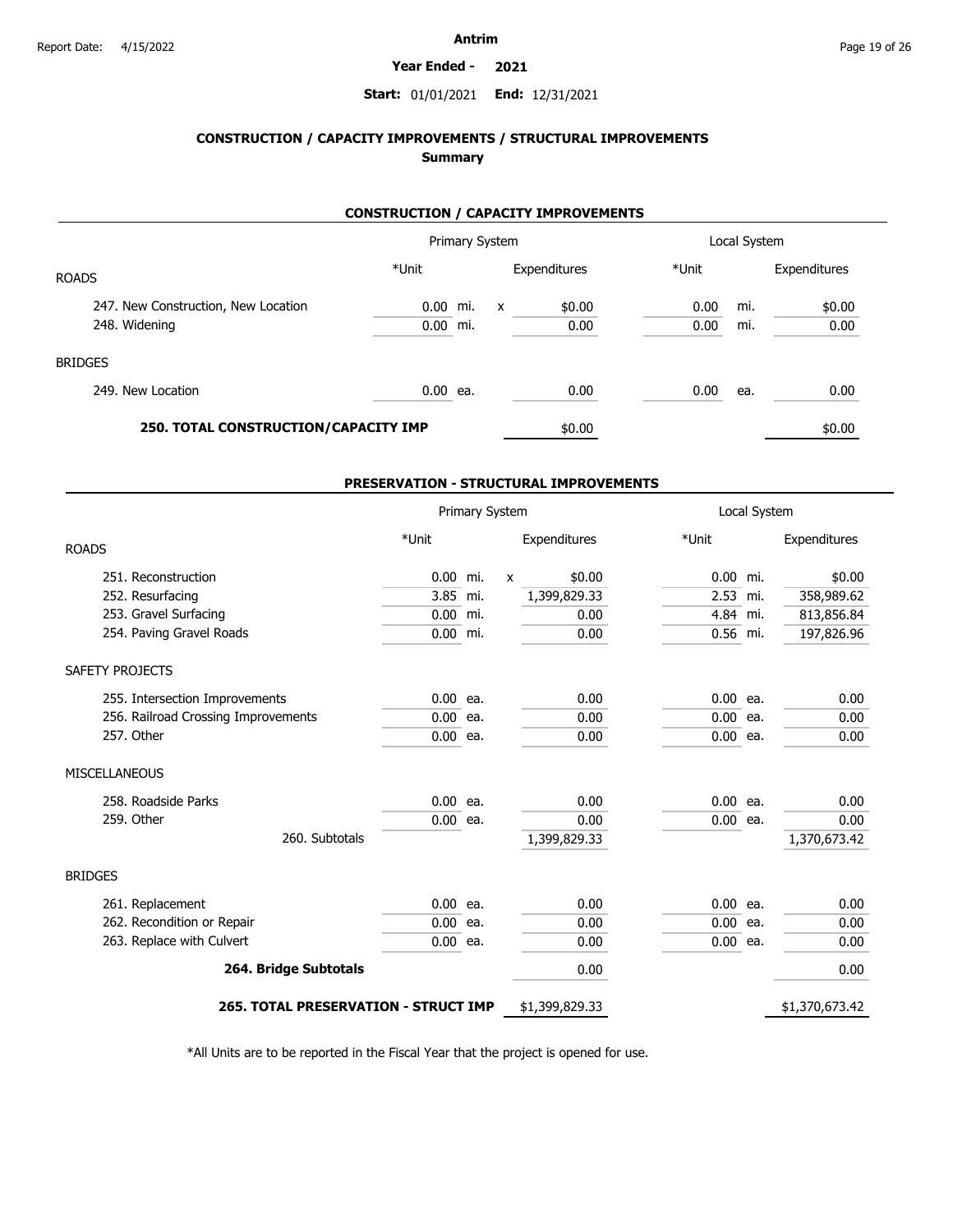#### **Year Ended - 2021**

### **Start:** 01/01/2021 **End:** 12/31/2021

# **CONSTRUCTION / CAPACITY IMPROVEMENTS / STRUCTURAL IMPROVEMENTS Summary**

### **CONSTRUCTION / CAPACITY IMPROVEMENTS**

|                                      |            |     | Primary System |              |       | Local System |              |
|--------------------------------------|------------|-----|----------------|--------------|-------|--------------|--------------|
| <b>ROADS</b>                         | *Unit      |     |                | Expenditures | *Unit |              | Expenditures |
| 247. New Construction, New Location  | 0.00 mi.   |     | $\mathsf{x}$   | \$0.00       | 0.00  | mi.          | \$0.00       |
| 248. Widening                        | 0.00       | mi. |                | 0.00         | 0.00  | mi.          | 0.00         |
| <b>BRIDGES</b>                       |            |     |                |              |       |              |              |
| 249. New Location                    | $0.00$ ea. |     |                | 0.00         | 0.00  | ea.          | 0.00         |
| 250. TOTAL CONSTRUCTION/CAPACITY IMP |            |     |                | \$0.00       |       |              | \$0.00       |

### **PRESERVATION - STRUCTURAL IMPROVEMENTS**

|                                             | Primary System |     | Local System |                |            |  |                |
|---------------------------------------------|----------------|-----|--------------|----------------|------------|--|----------------|
| <b>ROADS</b>                                | *Unit          |     |              | Expenditures   | *Unit      |  | Expenditures   |
| 251. Reconstruction                         | 0.00           | mi. | $\mathsf{x}$ | \$0.00         | $0.00$ mi. |  | \$0.00         |
| 252. Resurfacing                            | 3.85 mi.       |     |              | 1,399,829.33   | 2.53 mi.   |  | 358,989.62     |
| 253. Gravel Surfacing                       | 0.00           | mi. |              | 0.00           | 4.84 mi.   |  | 813,856.84     |
| 254. Paving Gravel Roads                    | $0.00$ mi.     |     |              | 0.00           | $0.56$ mi. |  | 197,826.96     |
| SAFETY PROJECTS                             |                |     |              |                |            |  |                |
| 255. Intersection Improvements              | $0.00$ ea.     |     |              | 0.00           | $0.00$ ea. |  | 0.00           |
| 256. Railroad Crossing Improvements         | $0.00$ ea.     |     |              | 0.00           | $0.00$ ea. |  | 0.00           |
| 257. Other                                  | $0.00$ ea.     |     |              | 0.00           | $0.00$ ea. |  | 0.00           |
| <b>MISCELLANEOUS</b>                        |                |     |              |                |            |  |                |
| 258. Roadside Parks                         | 0.00           | ea. |              | 0.00           | $0.00$ ea. |  | 0.00           |
| 259. Other                                  | $0.00$ ea.     |     |              | 0.00           | $0.00$ ea. |  | 0.00           |
| 260. Subtotals                              |                |     |              | 1,399,829.33   |            |  | 1,370,673.42   |
| <b>BRIDGES</b>                              |                |     |              |                |            |  |                |
| 261. Replacement                            | $0.00$ ea.     |     |              | 0.00           | $0.00$ ea. |  | 0.00           |
| 262. Recondition or Repair                  | $0.00$ ea.     |     |              | 0.00           | $0.00$ ea. |  | 0.00           |
| 263. Replace with Culvert                   | $0.00$ ea.     |     |              | 0.00           | $0.00$ ea. |  | 0.00           |
| 264. Bridge Subtotals                       |                |     |              | 0.00           |            |  | 0.00           |
| <b>265. TOTAL PRESERVATION - STRUCT IMP</b> |                |     |              | \$1,399,829.33 |            |  | \$1,370,673.42 |

\*All Units are to be reported in the Fiscal Year that the project is opened for use.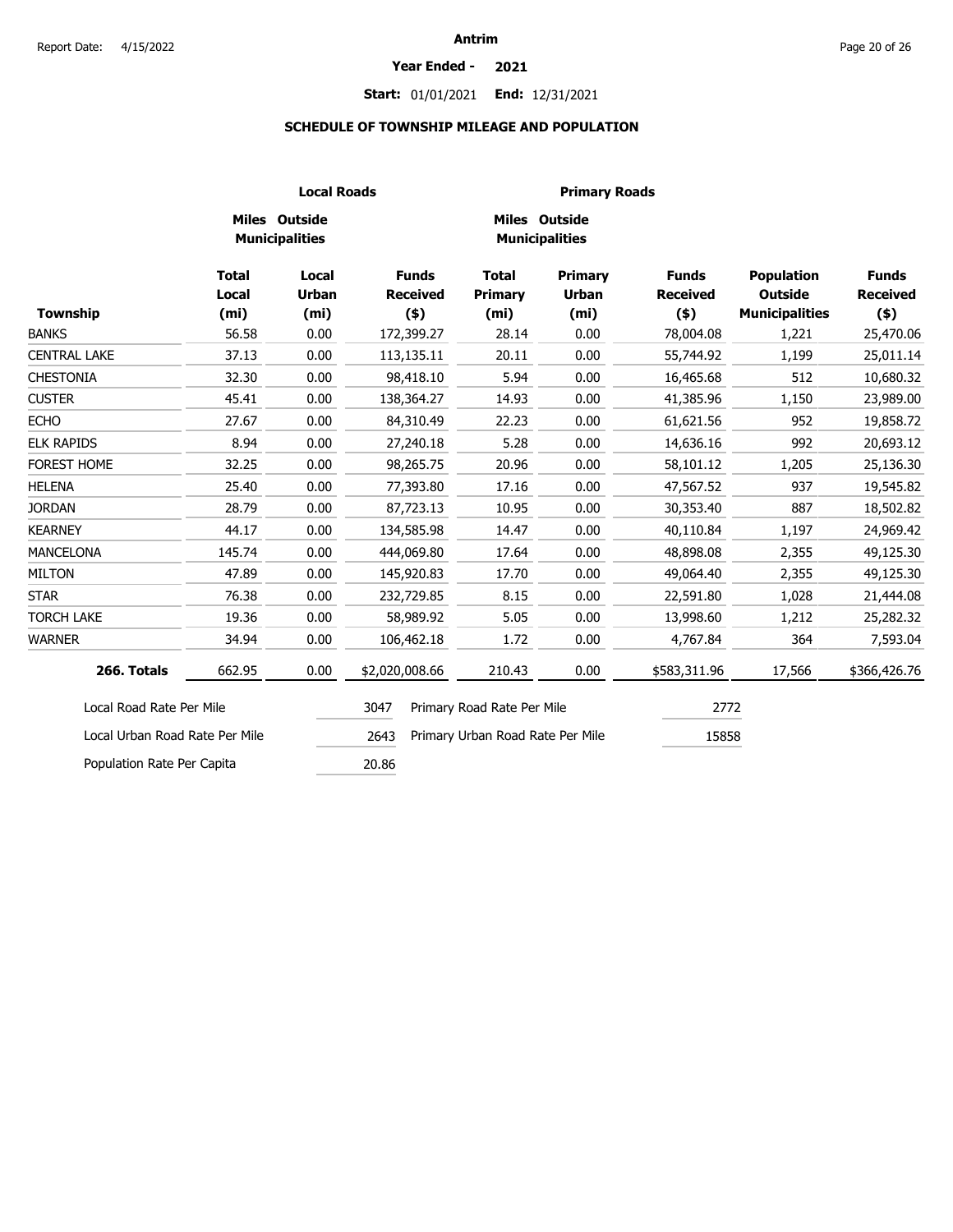# **Start:** 01/01/2021 **End:** 12/31/2021

### **SCHEDULE OF TOWNSHIP MILEAGE AND POPULATION**

|                                |                                            |                                            | <b>Local Roads</b>                         |                                                     | <b>Primary Roads</b>                                |                                            |                                                              |                                            |  |
|--------------------------------|--------------------------------------------|--------------------------------------------|--------------------------------------------|-----------------------------------------------------|-----------------------------------------------------|--------------------------------------------|--------------------------------------------------------------|--------------------------------------------|--|
|                                |                                            | Miles Outside<br><b>Municipalities</b>     |                                            |                                                     | <b>Miles Outside</b><br><b>Municipalities</b>       |                                            |                                                              |                                            |  |
| <b>Township</b>                | <b>Total</b><br>Local<br>(m <sub>i</sub> ) | Local<br><b>Urban</b><br>(m <sub>i</sub> ) | <b>Funds</b><br><b>Received</b><br>$($ \$) | <b>Total</b><br><b>Primary</b><br>(m <sub>i</sub> ) | <b>Primary</b><br><b>Urban</b><br>(m <sub>i</sub> ) | <b>Funds</b><br><b>Received</b><br>$($ \$) | <b>Population</b><br><b>Outside</b><br><b>Municipalities</b> | <b>Funds</b><br><b>Received</b><br>$($ \$) |  |
| <b>BANKS</b>                   | 56.58                                      | 0.00                                       | 172,399.27                                 | 28.14                                               | 0.00                                                | 78,004.08                                  | 1,221                                                        | 25,470.06                                  |  |
| <b>CENTRAL LAKE</b>            | 37.13                                      | 0.00                                       | 113,135.11                                 | 20.11                                               | 0.00                                                | 55,744.92                                  | 1,199                                                        | 25,011.14                                  |  |
| <b>CHESTONIA</b>               | 32.30                                      | 0.00                                       | 98,418.10                                  | 5.94                                                | 0.00                                                | 16,465.68                                  | 512                                                          | 10,680.32                                  |  |
| <b>CUSTER</b>                  | 45.41                                      | 0.00                                       | 138,364.27                                 | 14.93                                               | 0.00                                                | 41,385.96                                  | 1,150                                                        | 23,989.00                                  |  |
| <b>ECHO</b>                    | 27.67                                      | 0.00                                       | 84,310.49                                  | 22.23                                               | 0.00                                                | 61,621.56                                  | 952                                                          | 19,858.72                                  |  |
| <b>ELK RAPIDS</b>              | 8.94                                       | 0.00                                       | 27,240.18                                  | 5.28                                                | 0.00                                                | 14,636.16                                  | 992                                                          | 20,693.12                                  |  |
| FOREST HOME                    | 32.25                                      | 0.00                                       | 98,265.75                                  | 20.96                                               | 0.00                                                | 58,101.12                                  | 1,205                                                        | 25,136.30                                  |  |
| <b>HELENA</b>                  | 25.40                                      | 0.00                                       | 77,393.80                                  | 17.16                                               | 0.00                                                | 47,567.52                                  | 937                                                          | 19,545.82                                  |  |
| <b>JORDAN</b>                  | 28.79                                      | 0.00                                       | 87,723.13                                  | 10.95                                               | 0.00                                                | 30,353.40                                  | 887                                                          | 18,502.82                                  |  |
| <b>KEARNEY</b>                 | 44.17                                      | 0.00                                       | 134,585.98                                 | 14.47                                               | 0.00                                                | 40,110.84                                  | 1,197                                                        | 24,969.42                                  |  |
| <b>MANCELONA</b>               | 145.74                                     | 0.00                                       | 444,069.80                                 | 17.64                                               | 0.00                                                | 48,898.08                                  | 2,355                                                        | 49,125.30                                  |  |
| <b>MILTON</b>                  | 47.89                                      | 0.00                                       | 145,920.83                                 | 17.70                                               | 0.00                                                | 49,064.40                                  | 2,355                                                        | 49,125.30                                  |  |
| <b>STAR</b>                    | 76.38                                      | 0.00                                       | 232,729.85                                 | 8.15                                                | 0.00                                                | 22,591.80                                  | 1,028                                                        | 21,444.08                                  |  |
| <b>TORCH LAKE</b>              | 19.36                                      | 0.00                                       | 58,989.92                                  | 5.05                                                | 0.00                                                | 13,998.60                                  | 1,212                                                        | 25,282.32                                  |  |
| <b>WARNER</b>                  | 34.94                                      | 0.00                                       | 106,462.18                                 | 1.72                                                | 0.00                                                | 4,767.84                                   | 364                                                          | 7,593.04                                   |  |
| 266. Totals                    | 662.95                                     | 0.00                                       | \$2,020,008.66                             | 210.43                                              | 0.00                                                | \$583,311.96                               | 17,566                                                       | \$366,426.76                               |  |
| Local Road Rate Per Mile       |                                            |                                            | 3047                                       | Primary Road Rate Per Mile                          |                                                     | 2772                                       |                                                              |                                            |  |
| Local Urban Road Rate Per Mile |                                            |                                            | 2643                                       | Primary Urban Road Rate Per Mile                    |                                                     | 15858                                      |                                                              |                                            |  |
| Population Rate Per Capita     |                                            |                                            | 20.86                                      |                                                     |                                                     |                                            |                                                              |                                            |  |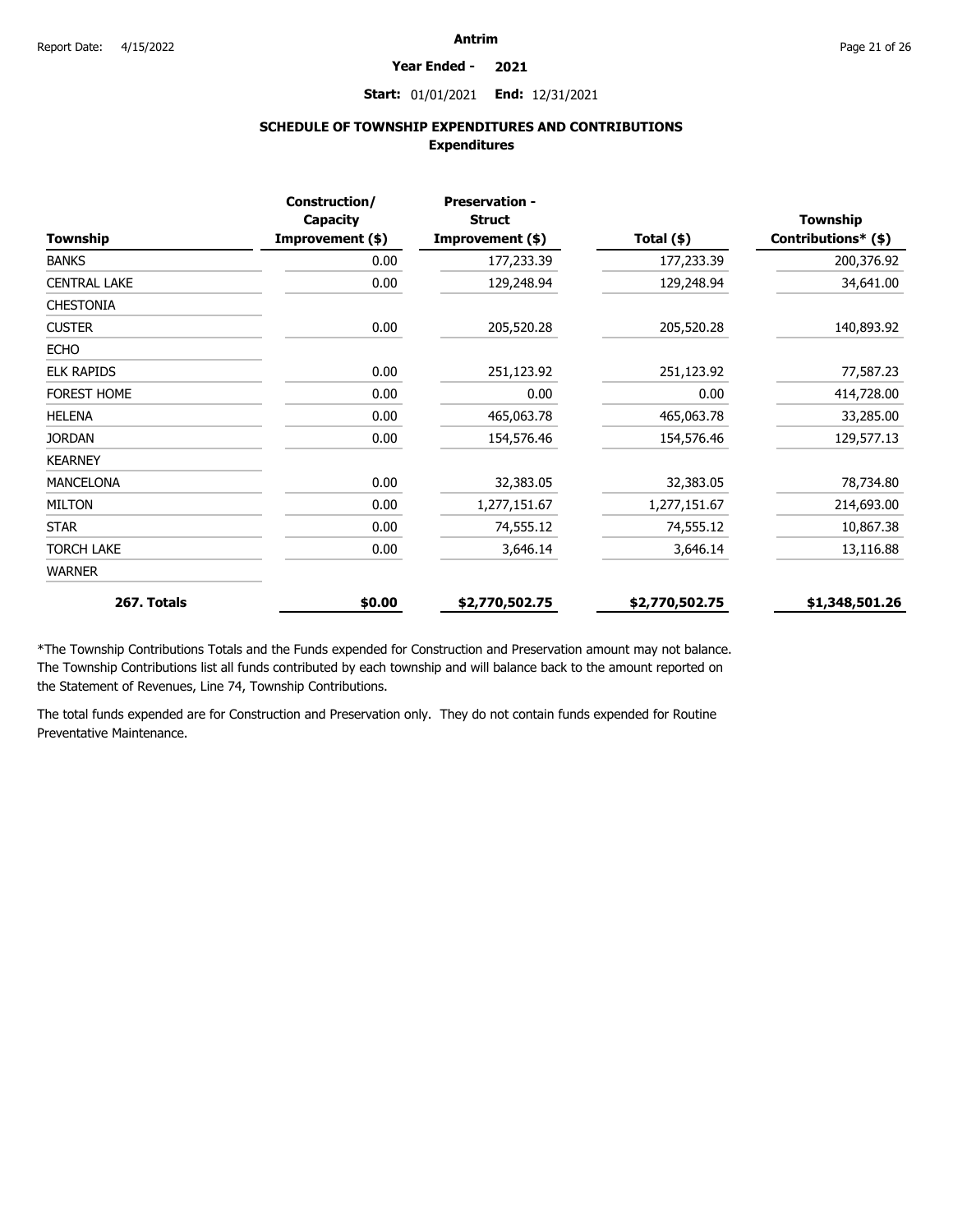#### **Year Ended - 2021**

**Start:** 01/01/2021 **End:** 12/31/2021

# **SCHEDULE OF TOWNSHIP EXPENDITURES AND CONTRIBUTIONS Expenditures**

|                     | Construction/<br>Capacity | <b>Preservation -</b><br><b>Struct</b> |                | <b>Township</b>     |
|---------------------|---------------------------|----------------------------------------|----------------|---------------------|
| <b>Township</b>     | Improvement (\$)          | Improvement (\$)                       | Total $(*)$    | Contributions* (\$) |
| <b>BANKS</b>        | 0.00                      | 177,233.39                             | 177,233.39     | 200,376.92          |
| <b>CENTRAL LAKE</b> | 0.00                      | 129,248.94                             | 129,248.94     | 34,641.00           |
| <b>CHESTONIA</b>    |                           |                                        |                |                     |
| <b>CUSTER</b>       | 0.00                      | 205,520.28                             | 205,520.28     | 140,893.92          |
| <b>ECHO</b>         |                           |                                        |                |                     |
| <b>ELK RAPIDS</b>   | 0.00                      | 251,123.92                             | 251,123.92     | 77,587.23           |
| <b>FOREST HOME</b>  | 0.00                      | 0.00                                   | 0.00           | 414,728.00          |
| <b>HELENA</b>       | 0.00                      | 465,063.78                             | 465,063.78     | 33,285.00           |
| <b>JORDAN</b>       | 0.00                      | 154,576.46                             | 154,576.46     | 129,577.13          |
| <b>KEARNEY</b>      |                           |                                        |                |                     |
| <b>MANCELONA</b>    | 0.00                      | 32,383.05                              | 32,383.05      | 78,734.80           |
| <b>MILTON</b>       | 0.00                      | 1,277,151.67                           | 1,277,151.67   | 214,693.00          |
| <b>STAR</b>         | 0.00                      | 74,555.12                              | 74,555.12      | 10,867.38           |
| <b>TORCH LAKE</b>   | 0.00                      | 3,646.14                               | 3,646.14       | 13,116.88           |
| <b>WARNER</b>       |                           |                                        |                |                     |
| 267. Totals         | \$0.00                    | \$2,770,502.75                         | \$2,770,502.75 | \$1,348,501.26      |

\*The Township Contributions Totals and the Funds expended for Construction and Preservation amount may not balance. The Township Contributions list all funds contributed by each township and will balance back to the amount reported on the Statement of Revenues, Line 74, Township Contributions.

The total funds expended are for Construction and Preservation only. They do not contain funds expended for Routine Preventative Maintenance.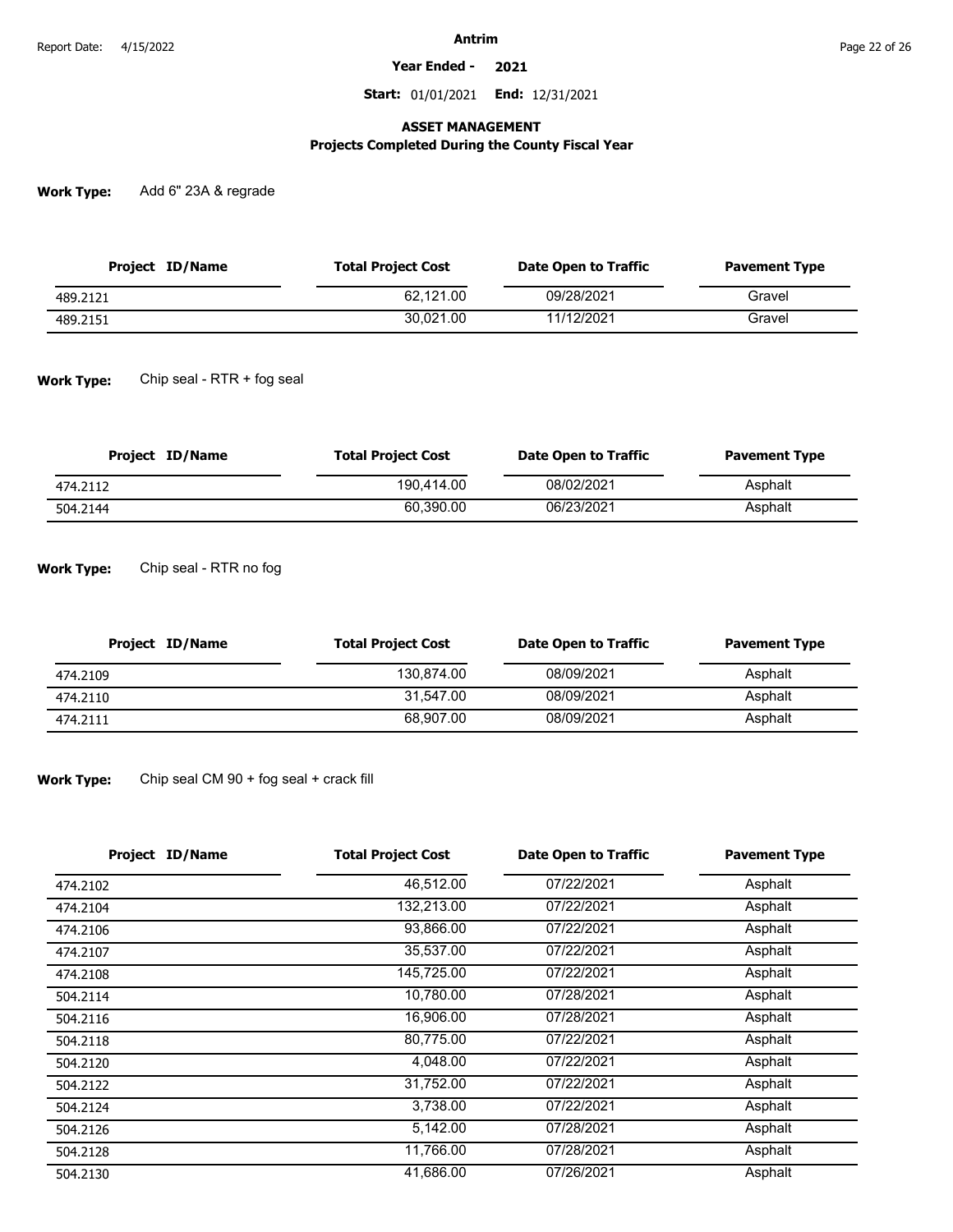**Year Ended - 2021**

**Start:** 01/01/2021 **End:** 12/31/2021

### **ASSET MANAGEMENT**

# **Projects Completed During the County Fiscal Year**

**Work Type:** Add 6" 23A & regrade

| Project ID/Name | <b>Total Project Cost</b> | Date Open to Traffic | <b>Pavement Type</b> |
|-----------------|---------------------------|----------------------|----------------------|
| 489.2121        | 62.121.00                 | 09/28/2021           | Gravel               |
| 489.2151        | 30.021.00                 | 11/12/2021           | Gravel               |

**Work Type:** Chip seal - RTR + fog seal

| Project ID/Name | <b>Total Project Cost</b> | Date Open to Traffic | <b>Pavement Type</b> |
|-----------------|---------------------------|----------------------|----------------------|
| 474.2112        | 190.414.00                | 08/02/2021           | Asphalt              |
| 504.2144        | 60.390.00                 | 06/23/2021           | Asphalt              |

**Work Type:** Chip seal - RTR no fog

| Project ID/Name | <b>Total Project Cost</b> | Date Open to Traffic | <b>Pavement Type</b> |
|-----------------|---------------------------|----------------------|----------------------|
| 474.2109        | 130.874.00                | 08/09/2021           | Asphalt              |
| 474.2110        | 31.547.00                 | 08/09/2021           | Asphalt              |
| 474.2111        | 68.907.00                 | 08/09/2021           | Asphalt              |

**Work Type:** Chip seal CM 90 + fog seal + crack fill

| <b>Project ID/Name</b> | <b>Total Project Cost</b> | <b>Date Open to Traffic</b> | <b>Pavement Type</b> |
|------------------------|---------------------------|-----------------------------|----------------------|
| 474.2102               | 46,512.00                 | 07/22/2021                  | Asphalt              |
| 474.2104               | 132,213.00                | 07/22/2021                  | Asphalt              |
| 474.2106               | 93,866.00                 | 07/22/2021                  | Asphalt              |
| 474.2107               | 35,537.00                 | 07/22/2021                  | Asphalt              |
| 474.2108               | 145,725.00                | 07/22/2021                  | Asphalt              |
| 504.2114               | 10,780.00                 | 07/28/2021                  | Asphalt              |
| 504.2116               | 16,906.00                 | 07/28/2021                  | Asphalt              |
| 504.2118               | 80,775.00                 | 07/22/2021                  | Asphalt              |
| 504.2120               | 4,048.00                  | 07/22/2021                  | Asphalt              |
| 504.2122               | 31,752.00                 | 07/22/2021                  | Asphalt              |
| 504.2124               | 3,738.00                  | 07/22/2021                  | Asphalt              |
| 504.2126               | 5,142.00                  | 07/28/2021                  | Asphalt              |
| 504.2128               | 11,766.00                 | 07/28/2021                  | Asphalt              |
| 504.2130               | 41,686.00                 | 07/26/2021                  | Asphalt              |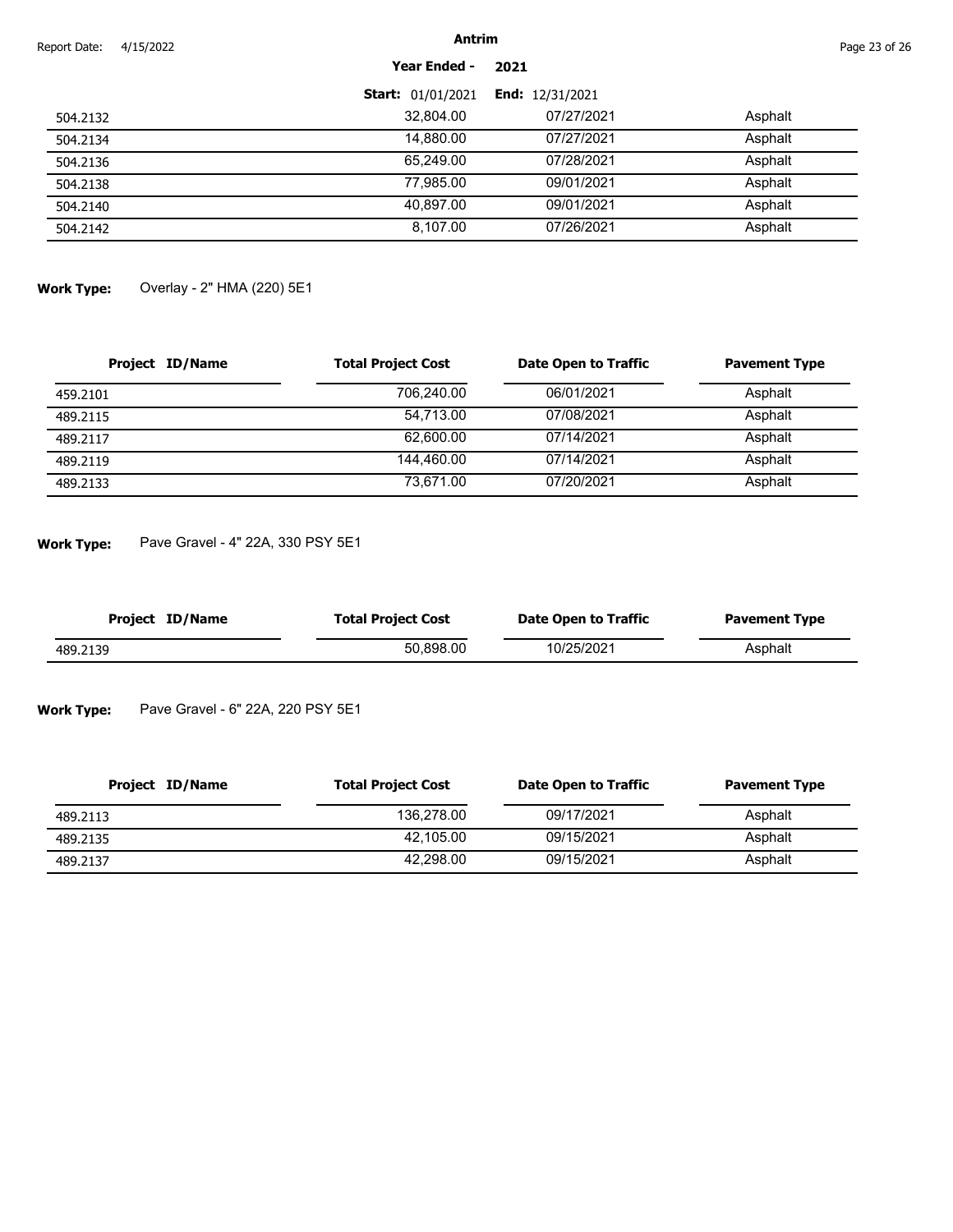| Report Date: | 4/15/2022 |                          | <b>Antrim</b>            |         |  |
|--------------|-----------|--------------------------|--------------------------|---------|--|
|              |           | <b>Year Ended -</b>      | 2021                     |         |  |
|              |           | <b>Start: 01/01/2021</b> | <b>End:</b> $12/31/2021$ |         |  |
| 504.2132     |           | 32,804.00                | 07/27/2021               | Asphalt |  |
| 504.2134     |           | 14,880.00                | 07/27/2021               | Asphalt |  |
| 504.2136     |           | 65,249.00                | 07/28/2021               | Asphalt |  |
| 504.2138     |           | 77,985.00                | 09/01/2021               | Asphalt |  |
| 504.2140     |           | 40,897.00                | 09/01/2021               | Asphalt |  |
| 504.2142     |           | 8,107.00                 | 07/26/2021               | Asphalt |  |

**Work Type:** Overlay - 2" HMA (220) 5E1

| <b>Project ID/Name</b> | <b>Total Project Cost</b> | Date Open to Traffic | <b>Pavement Type</b> |
|------------------------|---------------------------|----------------------|----------------------|
| 459.2101               | 706.240.00                | 06/01/2021           | Asphalt              |
| 489.2115               | 54.713.00                 | 07/08/2021           | Asphalt              |
| 489.2117               | 62.600.00                 | 07/14/2021           | Asphalt              |
| 489.2119               | 144.460.00                | 07/14/2021           | Asphalt              |
| 489.2133               | 73.671.00                 | 07/20/2021           | Asphalt              |

**Work Type:** Pave Gravel - 4" 22A, 330 PSY 5E1

| Project ID/Name | <b>Total Project Cost</b> | Date Open to Traffic | <b>Pavement Type</b> |
|-----------------|---------------------------|----------------------|----------------------|
| 489.2139        | 50.898.00                 | 10/25/2021           | Asphalt              |

**Work Type:** Pave Gravel - 6" 22A, 220 PSY 5E1

| Project ID/Name | <b>Total Project Cost</b> | Date Open to Traffic | <b>Pavement Type</b> |
|-----------------|---------------------------|----------------------|----------------------|
| 489.2113        | 136.278.00                | 09/17/2021           | Asphalt              |
| 489.2135        | 42.105.00                 | 09/15/2021           | Asphalt              |
| 489.2137        | 42.298.00                 | 09/15/2021           | Asphalt              |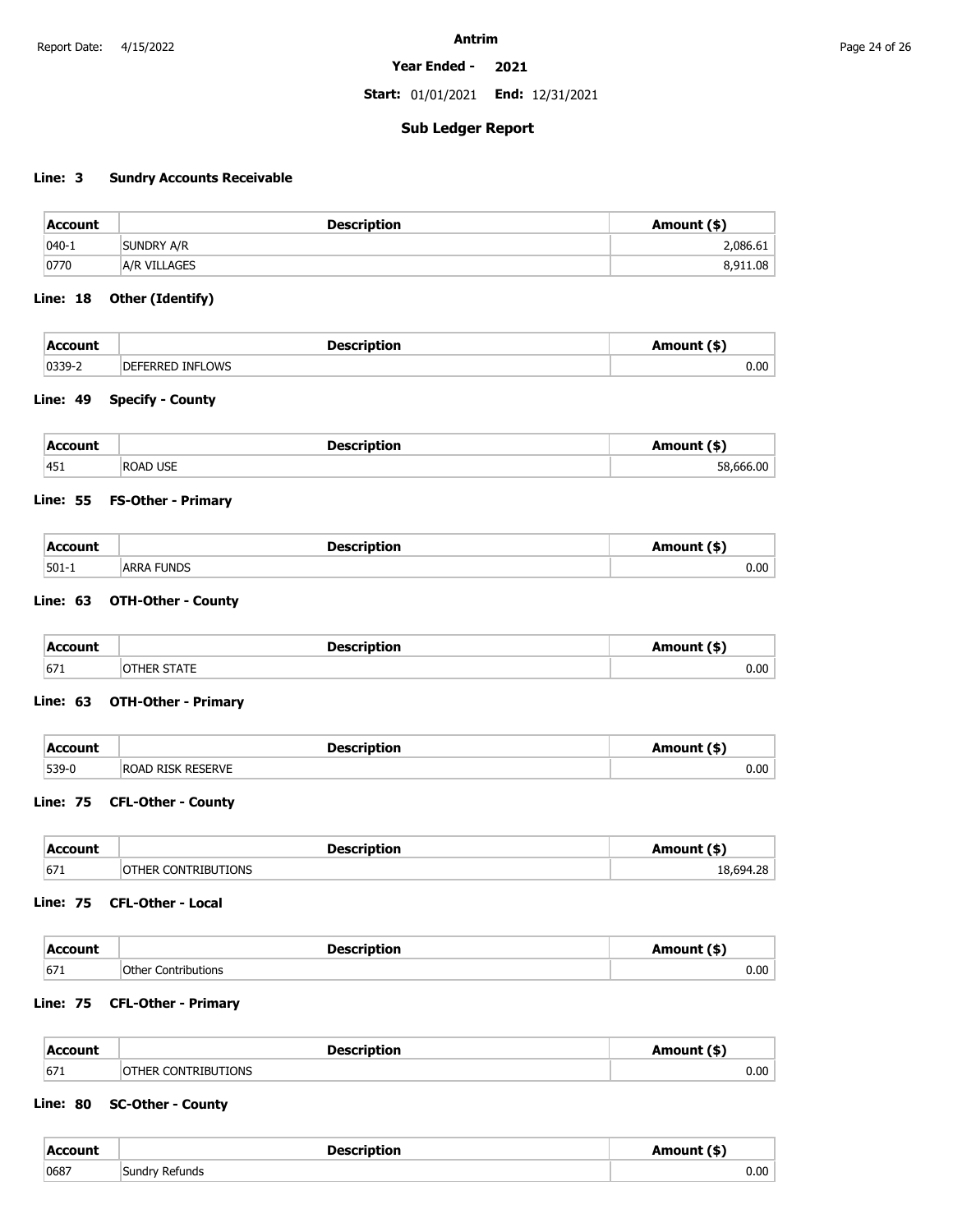**Start:** 01/01/2021 **End:** 12/31/2021

### **Sub Ledger Report**

# **Line: 3 Sundry Accounts Receivable**

| Account    | <b>Description</b> | Amount (\$) |
|------------|--------------------|-------------|
| $1040 - 1$ | <b>SUNDRY A/R</b>  | 2,086.61    |
| 0770       | A/R VILLAGES       | 8,911.08    |

### **Line: 18 Other (Identify)**

| <b>Account</b> | <b>Description</b>      | Amount (*` |
|----------------|-------------------------|------------|
| 0339-2         | <b>DEFERRED INFLOWS</b> | 0.00       |

### **Line: 49 Specify - County**

| Account | <b>Description</b> | Amount (\$) |
|---------|--------------------|-------------|
| 451     | <b>ROAD USE</b>    | 58,666.00   |

### **Line: 55 FS-Other - Primary**

| <b>Account</b> | <b>Description</b> | Amount (\$) |
|----------------|--------------------|-------------|
| $501-1$        | <b>ARRA FUNDS</b>  | $0.00\,$    |

### **Line: 63 OTH-Other - County**

| <b>Account</b> | <b>Description</b> | Amount (\$) |
|----------------|--------------------|-------------|
| 671            | <b>STATE</b>       | 0.00        |

### **Line: 63 OTH-Other - Primary**

| Account   | <b>Description</b>       | Amount (\$) |
|-----------|--------------------------|-------------|
| $ 539-0 $ | <b>ROAD RISK RESERVE</b> | 0.00        |

### **Line: 75 CFL-Other - County**

| Account | <b>Description</b>   | Amount (\$' |
|---------|----------------------|-------------|
| 671     | <b>CONTRIBUTIONS</b> | 1 Q GO 4    |

### **Line: 75 CFL-Other - Local**

| <b>Account</b> | <b>Description</b>  | Amount (\$) |
|----------------|---------------------|-------------|
| 671            | Other Contributions | 0.00        |

### **Line: 75 CFL-Other - Primary**

 $\sim$ 

| Account | <b>Description</b>         | Amount (\$) |
|---------|----------------------------|-------------|
| 671     | <b>OTHER CONTRIBUTIONS</b> | $0.00\,$    |

### **Line: 80 SC-Other - County**

| Account | Description               | Amount (\$' |
|---------|---------------------------|-------------|
| 0687    | Sundry Refunds<br>.<br>__ | 0.00        |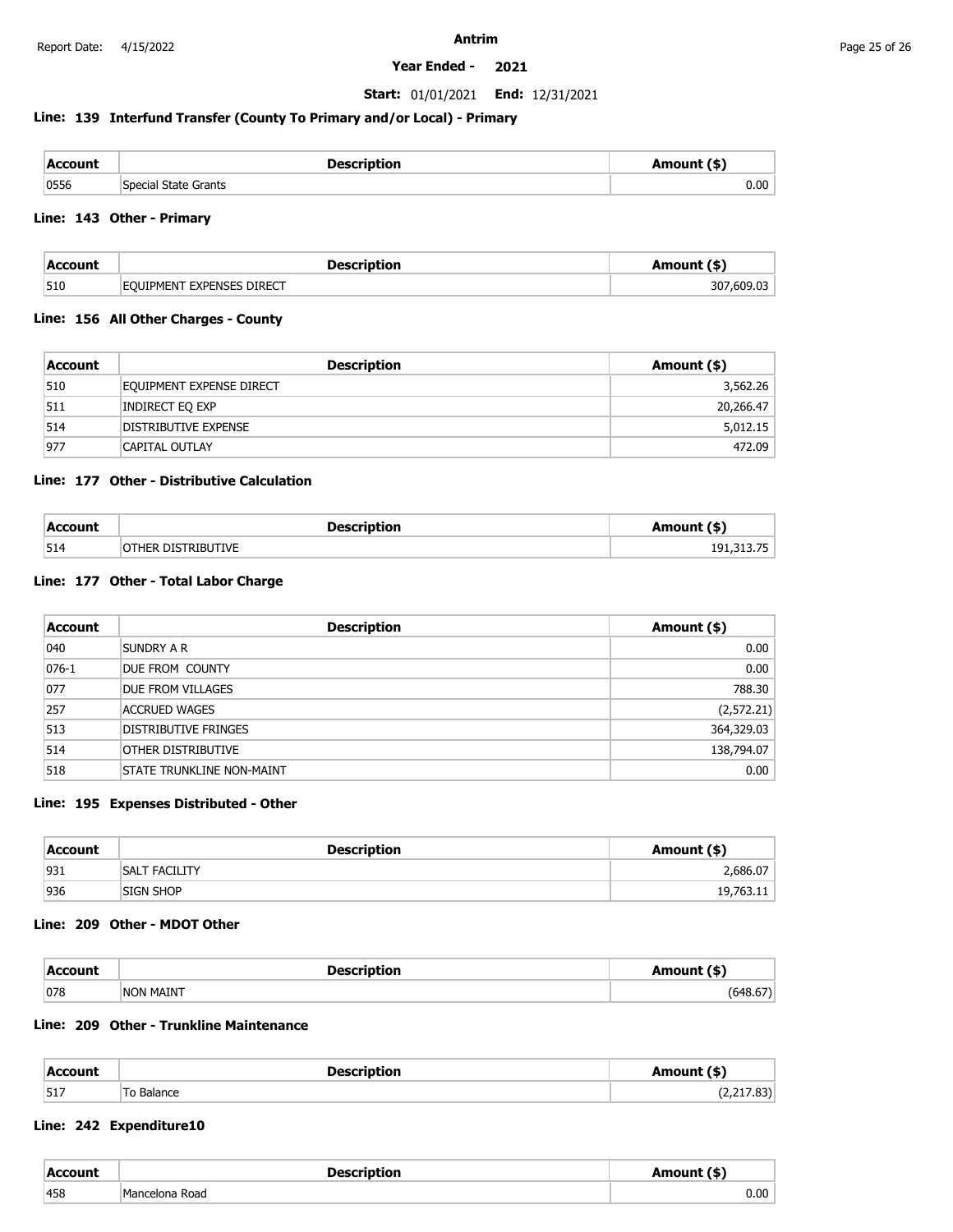### **Start:** 01/01/2021 **End:** 12/31/2021

### **Line: 139 Interfund Transfer (County To Primary and/or Local) - Primary**

| Account | <b>Description</b>   | Amount (\$' |
|---------|----------------------|-------------|
| 0556    | Special State Grants | $0.00\,$    |

### **Line: 143 Other - Primary**

| Account | Description               | Amount (\$)               |
|---------|---------------------------|---------------------------|
| 510     | EQUIPMENT EXPENSES DIRECT | $\sim$<br>30<br>ີີ 609.ບ. |

### **Line: 156 All Other Charges - County**

| Account | <b>Description</b>       | Amount (\$) |
|---------|--------------------------|-------------|
| 510     | EQUIPMENT EXPENSE DIRECT | 3,562.26    |
| 511     | Indirect Eq exp          | 20,266.47   |
| 514     | DISTRIBUTIVE EXPENSE     | 5,012.15    |
| 977     | CAPITAL OUTLAY           | 472.09      |

### **Line: 177 Other - Distributive Calculation**

| Account | <b>Description</b> | Amount (\$) |
|---------|--------------------|-------------|
| 514     | OTHER DISTRIBUTIVE | 191,313,75  |

### **Line: 177 Other - Total Labor Charge**

| Account   | <b>Description</b>               | Amount (\$) |
|-----------|----------------------------------|-------------|
| 040       | Sundry a R                       | 0.00        |
| $076 - 1$ | DUE FROM COUNTY                  | 0.00        |
| 077       | DUE FROM VILLAGES                | 788.30      |
| 257       | ACCRUED WAGES                    | (2, 572.21) |
| 513       | DISTRIBUTIVE FRINGES             | 364,329.03  |
| 514       | OTHER DISTRIBUTIVE               | 138,794.07  |
| 518       | <b>STATE TRUNKLINE NON-MAINT</b> | 0.00        |

### **Line: 195 Expenses Distributed - Other**

| <b>Account</b> | <b>Description</b>   | Amount (\$) |
|----------------|----------------------|-------------|
| 931            | <b>SALT FACILITY</b> | 2,686.07    |
| 936            | SIGN SHOP            | 19,763.11   |

### **Line: 209 Other - MDOT Other**

| Account | Description                            | nount (\$)                   |
|---------|----------------------------------------|------------------------------|
| 078     | , MAINT<br><b>NON</b><br>$\sim$ $\sim$ | $-1$<br>547 .<br>, , , , , , |

# **Line: 209 Other - Trunkline Maintenance**

| <b>Account</b> | <b>Description</b> | Amount (\$) |
|----------------|--------------------|-------------|
| 517            | To Balance         | (2,217.83)  |

### **Line: 242 Expenditure10**

| Account | <b>Description</b>         | Amount (\$' |
|---------|----------------------------|-------------|
| 458     | IMancelona Road<br>.<br>__ | $0.00\,$    |